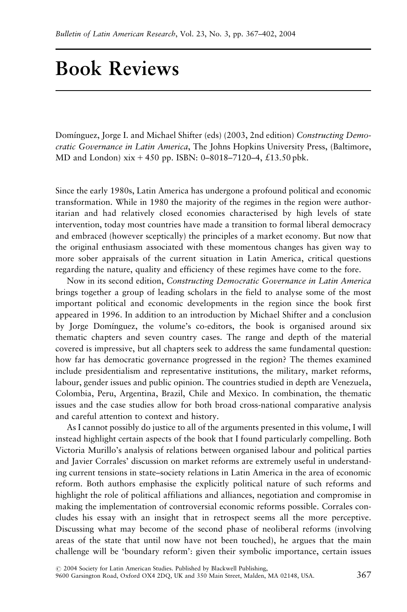Dominguez, Jorge I. and Michael Shifter (eds) (2003, 2nd edition) Constructing Democratic Governance in Latin America, The Johns Hopkins University Press, (Baltimore, MD and London)  $xix + 450$  pp. ISBN: 0-8018-7120-4, £13.50 pbk.

Since the early 1980s, Latin America has undergone a profound political and economic transformation. While in 1980 the majority of the regimes in the region were authoritarian and had relatively closed economies characterised by high levels of state intervention, today most countries have made a transition to formal liberal democracy and embraced (however sceptically) the principles of a market economy. But now that the original enthusiasm associated with these momentous changes has given way to more sober appraisals of the current situation in Latin America, critical questions regarding the nature, quality and efficiency of these regimes have come to the fore.

Now in its second edition, Constructing Democratic Governance in Latin America brings together a group of leading scholars in the field to analyse some of the most important political and economic developments in the region since the book first appeared in 1996. In addition to an introduction by Michael Shifter and a conclusion by Jorge Domı´nguez, the volume's co-editors, the book is organised around six thematic chapters and seven country cases. The range and depth of the material covered is impressive, but all chapters seek to address the same fundamental question: how far has democratic governance progressed in the region? The themes examined include presidentialism and representative institutions, the military, market reforms, labour, gender issues and public opinion. The countries studied in depth are Venezuela, Colombia, Peru, Argentina, Brazil, Chile and Mexico. In combination, the thematic issues and the case studies allow for both broad cross-national comparative analysis and careful attention to context and history.

As I cannot possibly do justice to all of the arguments presented in this volume, I will instead highlight certain aspects of the book that I found particularly compelling. Both Victoria Murillo's analysis of relations between organised labour and political parties and Javier Corrales' discussion on market reforms are extremely useful in understanding current tensions in state–society relations in Latin America in the area of economic reform. Both authors emphasise the explicitly political nature of such reforms and highlight the role of political affiliations and alliances, negotiation and compromise in making the implementation of controversial economic reforms possible. Corrales concludes his essay with an insight that in retrospect seems all the more perceptive. Discussing what may become of the second phase of neoliberal reforms (involving areas of the state that until now have not been touched), he argues that the main challenge will be 'boundary reform': given their symbolic importance, certain issues

 $\odot$  2004 Society for Latin American Studies. Published by Blackwell Publishing,

<sup>9600</sup> Garsington Road, Oxford OX4 2DQ, UK and 350 Main Street, Malden, MA 02148, USA. 367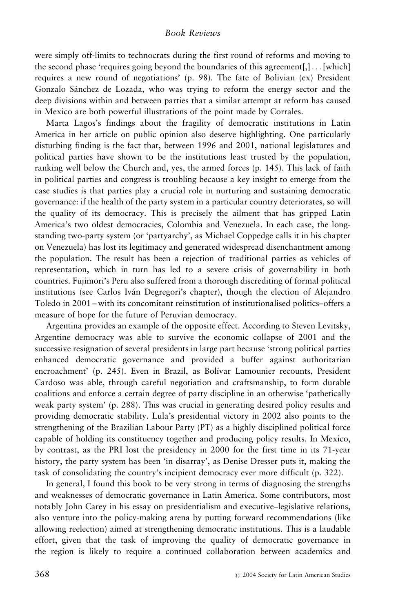were simply off-limits to technocrats during the first round of reforms and moving to the second phase 'requires going beyond the boundaries of this agreement[, $] \ldots$ [which] requires a new round of negotiations' (p. 98). The fate of Bolivian (ex) President Gonzalo Sánchez de Lozada, who was trying to reform the energy sector and the deep divisions within and between parties that a similar attempt at reform has caused in Mexico are both powerful illustrations of the point made by Corrales.

Marta Lagos's findings about the fragility of democratic institutions in Latin America in her article on public opinion also deserve highlighting. One particularly disturbing finding is the fact that, between 1996 and 2001, national legislatures and political parties have shown to be the institutions least trusted by the population, ranking well below the Church and, yes, the armed forces (p. 145). This lack of faith in political parties and congress is troubling because a key insight to emerge from the case studies is that parties play a crucial role in nurturing and sustaining democratic governance: if the health of the party system in a particular country deteriorates, so will the quality of its democracy. This is precisely the ailment that has gripped Latin America's two oldest democracies, Colombia and Venezuela. In each case, the longstanding two-party system (or 'partyarchy', as Michael Coppedge calls it in his chapter on Venezuela) has lost its legitimacy and generated widespread disenchantment among the population. The result has been a rejection of traditional parties as vehicles of representation, which in turn has led to a severe crisis of governability in both countries. Fujimori's Peru also suffered from a thorough discrediting of formal political institutions (see Carlos Iván Degregori's chapter), though the election of Alejandro Toledo in 2001 – with its concomitant reinstitution of institutionalised politics–offers a measure of hope for the future of Peruvian democracy.

Argentina provides an example of the opposite effect. According to Steven Levitsky, Argentine democracy was able to survive the economic collapse of 2001 and the successive resignation of several presidents in large part because 'strong political parties enhanced democratic governance and provided a buffer against authoritarian encroachment' (p. 245). Even in Brazil, as Bolívar Lamounier recounts, President Cardoso was able, through careful negotiation and craftsmanship, to form durable coalitions and enforce a certain degree of party discipline in an otherwise 'pathetically weak party system' (p. 288). This was crucial in generating desired policy results and providing democratic stability. Lula's presidential victory in 2002 also points to the strengthening of the Brazilian Labour Party (PT) as a highly disciplined political force capable of holding its constituency together and producing policy results. In Mexico, by contrast, as the PRI lost the presidency in 2000 for the first time in its 71-year history, the party system has been 'in disarray', as Denise Dresser puts it, making the task of consolidating the country's incipient democracy ever more difficult (p. 322).

In general, I found this book to be very strong in terms of diagnosing the strengths and weaknesses of democratic governance in Latin America. Some contributors, most notably John Carey in his essay on presidentialism and executive–legislative relations, also venture into the policy-making arena by putting forward recommendations (like allowing reelection) aimed at strengthening democratic institutions. This is a laudable effort, given that the task of improving the quality of democratic governance in the region is likely to require a continued collaboration between academics and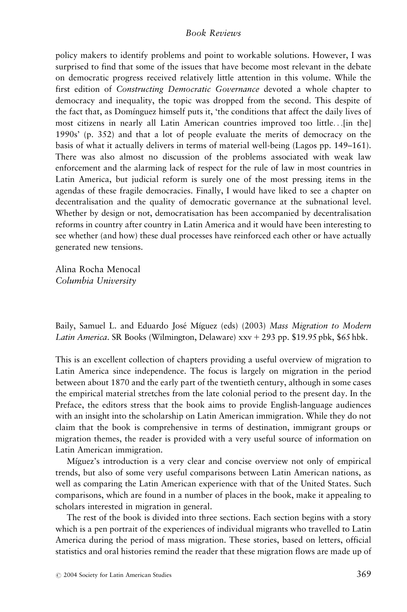policy makers to identify problems and point to workable solutions. However, I was surprised to find that some of the issues that have become most relevant in the debate on democratic progress received relatively little attention in this volume. While the first edition of Constructing Democratic Governance devoted a whole chapter to democracy and inequality, the topic was dropped from the second. This despite of the fact that, as Dominguez himself puts it, 'the conditions that affect the daily lives of most citizens in nearly all Latin American countries improved too little...[in the] 1990s' (p. 352) and that a lot of people evaluate the merits of democracy on the basis of what it actually delivers in terms of material well-being (Lagos pp. 149–161). There was also almost no discussion of the problems associated with weak law enforcement and the alarming lack of respect for the rule of law in most countries in Latin America, but judicial reform is surely one of the most pressing items in the agendas of these fragile democracies. Finally, I would have liked to see a chapter on decentralisation and the quality of democratic governance at the subnational level. Whether by design or not, democratisation has been accompanied by decentralisation reforms in country after country in Latin America and it would have been interesting to see whether (and how) these dual processes have reinforced each other or have actually generated new tensions.

Alina Rocha Menocal Columbia University

Baily, Samuel L. and Eduardo José Míguez (eds) (2003) Mass Migration to Modern Latin America. SR Books (Wilmington, Delaware)  $xxv + 293$  pp. \$19.95 pbk, \$65 hbk.

This is an excellent collection of chapters providing a useful overview of migration to Latin America since independence. The focus is largely on migration in the period between about 1870 and the early part of the twentieth century, although in some cases the empirical material stretches from the late colonial period to the present day. In the Preface, the editors stress that the book aims to provide English-language audiences with an insight into the scholarship on Latin American immigration. While they do not claim that the book is comprehensive in terms of destination, immigrant groups or migration themes, the reader is provided with a very useful source of information on Latin American immigration.

Míguez's introduction is a very clear and concise overview not only of empirical trends, but also of some very useful comparisons between Latin American nations, as well as comparing the Latin American experience with that of the United States. Such comparisons, which are found in a number of places in the book, make it appealing to scholars interested in migration in general.

The rest of the book is divided into three sections. Each section begins with a story which is a pen portrait of the experiences of individual migrants who travelled to Latin America during the period of mass migration. These stories, based on letters, official statistics and oral histories remind the reader that these migration flows are made up of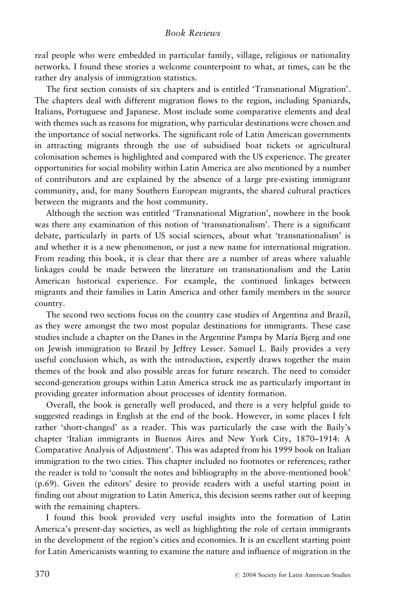real people who were embedded in particular family, village, religious or nationality networks. I found these stories a welcome counterpoint to what, at times, can be the rather dry analysis of immigration statistics.

The first section consists of six chapters and is entitled 'Transnational Migration'. The chapters deal with different migration flows to the region, including Spaniards, Italians, Portuguese and Japanese. Most include some comparative elements and deal with themes such as reasons for migration, why particular destinations were chosen and the importance of social networks. The significant role of Latin American governments in attracting migrants through the use of subsidised boat tickets or agricultural colonisation schemes is highlighted and compared with the US experience. The greater opportunities for social mobility within Latin America are also mentioned by a number of contributors and are explained by the absence of a large pre-existing immigrant community, and, for many Southern European migrants, the shared cultural practices between the migrants and the host community.

Although the section was entitled 'Transnational Migration', nowhere in the book was there any examination of this notion of 'transnationalism'. There is a significant debate, particularly in parts of US social sciences, about what 'transnationalism' is and whether it is a new phenomenon, or just a new name for international migration. From reading this book, it is clear that there are a number of areas where valuable linkages could be made between the literature on transnationalism and the Latin American historical experience. For example, the continued linkages between migrants and their families in Latin America and other family members in the source country.

The second two sections focus on the country case studies of Argentina and Brazil, as they were amongst the two most popular destinations for immigrants. These case studies include a chapter on the Danes in the Argentine Pampa by María Bjerg and one on Jewish immigration to Brazil by Jeffrey Lesser. Samuel L. Baily provides a very useful conclusion which, as with the introduction, expertly draws together the main themes of the book and also possible areas for future research. The need to consider second-generation groups within Latin America struck me as particularly important in providing greater information about processes of identity formation.

Overall, the book is generally well produced, and there is a very helpful guide to suggested readings in English at the end of the book. However, in some places I felt rather 'short-changed' as a reader. This was particularly the case with the Baily's chapter 'Italian immigrants in Buenos Aires and New York City, 1870–1914: A Comparative Analysis of Adjustment'. This was adapted from his 1999 book on Italian immigration to the two cities. This chapter included no footnotes or references; rather the reader is told to 'consult the notes and bibliography in the above-mentioned book' (p.69). Given the editors' desire to provide readers with a useful starting point in finding out about migration to Latin America, this decision seems rather out of keeping with the remaining chapters.

I found this book provided very useful insights into the formation of Latin America's present-day societies, as well as highlighting the role of certain immigrants in the development of the region's cities and economies. It is an excellent starting point for Latin Americanists wanting to examine the nature and influence of migration in the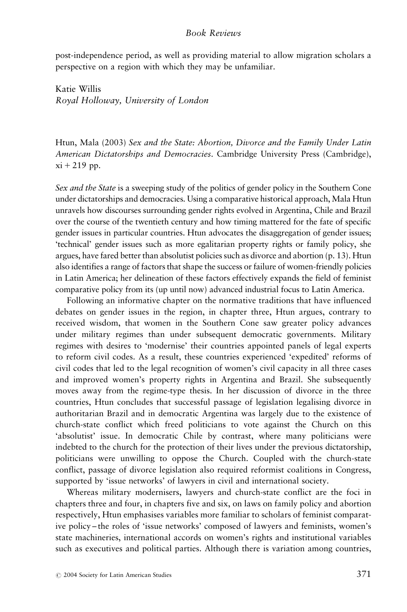post-independence period, as well as providing material to allow migration scholars a perspective on a region with which they may be unfamiliar.

Katie Willis Royal Holloway, University of London

Htun, Mala (2003) Sex and the State: Abortion, Divorce and the Family Under Latin American Dictatorships and Democracies. Cambridge University Press (Cambridge),  $xi + 219$  pp.

Sex and the State is a sweeping study of the politics of gender policy in the Southern Cone under dictatorships and democracies. Using a comparative historical approach, Mala Htun unravels how discourses surrounding gender rights evolved in Argentina, Chile and Brazil over the course of the twentieth century and how timing mattered for the fate of specific gender issues in particular countries. Htun advocates the disaggregation of gender issues; 'technical' gender issues such as more egalitarian property rights or family policy, she argues, have fared better than absolutist policies such as divorce and abortion (p. 13). Htun also identifies a range of factors that shape the success or failure of women-friendly policies in Latin America; her delineation of these factors effectively expands the field of feminist comparative policy from its (up until now) advanced industrial focus to Latin America.

Following an informative chapter on the normative traditions that have influenced debates on gender issues in the region, in chapter three, Htun argues, contrary to received wisdom, that women in the Southern Cone saw greater policy advances under military regimes than under subsequent democratic governments. Military regimes with desires to 'modernise' their countries appointed panels of legal experts to reform civil codes. As a result, these countries experienced 'expedited' reforms of civil codes that led to the legal recognition of women's civil capacity in all three cases and improved women's property rights in Argentina and Brazil. She subsequently moves away from the regime-type thesis. In her discussion of divorce in the three countries, Htun concludes that successful passage of legislation legalising divorce in authoritarian Brazil and in democratic Argentina was largely due to the existence of church-state conflict which freed politicians to vote against the Church on this 'absolutist' issue. In democratic Chile by contrast, where many politicians were indebted to the church for the protection of their lives under the previous dictatorship, politicians were unwilling to oppose the Church. Coupled with the church-state conflict, passage of divorce legislation also required reformist coalitions in Congress, supported by 'issue networks' of lawyers in civil and international society.

Whereas military modernisers, lawyers and church-state conflict are the foci in chapters three and four, in chapters five and six, on laws on family policy and abortion respectively, Htun emphasises variables more familiar to scholars of feminist comparative policy – the roles of 'issue networks' composed of lawyers and feminists, women's state machineries, international accords on women's rights and institutional variables such as executives and political parties. Although there is variation among countries,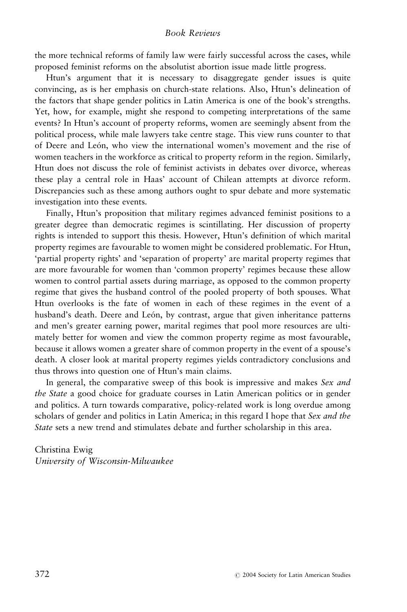the more technical reforms of family law were fairly successful across the cases, while proposed feminist reforms on the absolutist abortion issue made little progress.

Htun's argument that it is necessary to disaggregate gender issues is quite convincing, as is her emphasis on church-state relations. Also, Htun's delineation of the factors that shape gender politics in Latin America is one of the book's strengths. Yet, how, for example, might she respond to competing interpretations of the same events? In Htun's account of property reforms, women are seemingly absent from the political process, while male lawyers take centre stage. This view runs counter to that of Deere and León, who view the international women's movement and the rise of women teachers in the workforce as critical to property reform in the region. Similarly, Htun does not discuss the role of feminist activists in debates over divorce, whereas these play a central role in Haas' account of Chilean attempts at divorce reform. Discrepancies such as these among authors ought to spur debate and more systematic investigation into these events.

Finally, Htun's proposition that military regimes advanced feminist positions to a greater degree than democratic regimes is scintillating. Her discussion of property rights is intended to support this thesis. However, Htun's definition of which marital property regimes are favourable to women might be considered problematic. For Htun, 'partial property rights' and 'separation of property' are marital property regimes that are more favourable for women than 'common property' regimes because these allow women to control partial assets during marriage, as opposed to the common property regime that gives the husband control of the pooled property of both spouses. What Htun overlooks is the fate of women in each of these regimes in the event of a husband's death. Deere and León, by contrast, argue that given inheritance patterns and men's greater earning power, marital regimes that pool more resources are ultimately better for women and view the common property regime as most favourable, because it allows women a greater share of common property in the event of a spouse's death. A closer look at marital property regimes yields contradictory conclusions and thus throws into question one of Htun's main claims.

In general, the comparative sweep of this book is impressive and makes Sex and the State a good choice for graduate courses in Latin American politics or in gender and politics. A turn towards comparative, policy-related work is long overdue among scholars of gender and politics in Latin America; in this regard I hope that Sex and the State sets a new trend and stimulates debate and further scholarship in this area.

Christina Ewig University of Wisconsin-Milwaukee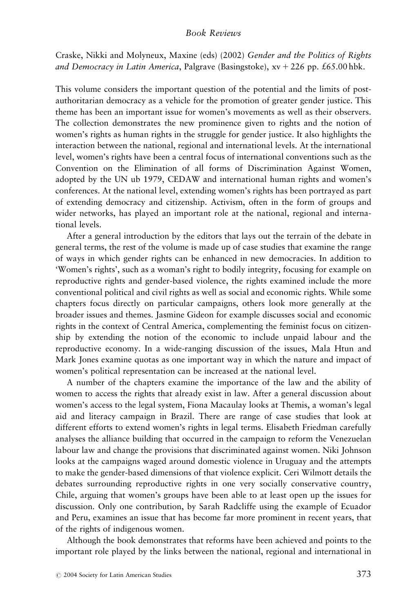Craske, Nikki and Molyneux, Maxine (eds) (2002) Gender and the Politics of Rights and Democracy in Latin America, Palgrave (Basingstoke),  $xy + 226$  pp. £65.00 hbk.

This volume considers the important question of the potential and the limits of postauthoritarian democracy as a vehicle for the promotion of greater gender justice. This theme has been an important issue for women's movements as well as their observers. The collection demonstrates the new prominence given to rights and the notion of women's rights as human rights in the struggle for gender justice. It also highlights the interaction between the national, regional and international levels. At the international level, women's rights have been a central focus of international conventions such as the Convention on the Elimination of all forms of Discrimination Against Women, adopted by the UN ub 1979, CEDAW and international human rights and women's conferences. At the national level, extending women's rights has been portrayed as part of extending democracy and citizenship. Activism, often in the form of groups and wider networks, has played an important role at the national, regional and international levels.

After a general introduction by the editors that lays out the terrain of the debate in general terms, the rest of the volume is made up of case studies that examine the range of ways in which gender rights can be enhanced in new democracies. In addition to 'Women's rights', such as a woman's right to bodily integrity, focusing for example on reproductive rights and gender-based violence, the rights examined include the more conventional political and civil rights as well as social and economic rights. While some chapters focus directly on particular campaigns, others look more generally at the broader issues and themes. Jasmine Gideon for example discusses social and economic rights in the context of Central America, complementing the feminist focus on citizenship by extending the notion of the economic to include unpaid labour and the reproductive economy. In a wide-ranging discussion of the issues, Mala Htun and Mark Jones examine quotas as one important way in which the nature and impact of women's political representation can be increased at the national level.

A number of the chapters examine the importance of the law and the ability of women to access the rights that already exist in law. After a general discussion about women's access to the legal system, Fiona Macaulay looks at Themis, a woman's legal aid and literacy campaign in Brazil. There are range of case studies that look at different efforts to extend women's rights in legal terms. Elisabeth Friedman carefully analyses the alliance building that occurred in the campaign to reform the Venezuelan labour law and change the provisions that discriminated against women. Niki Johnson looks at the campaigns waged around domestic violence in Uruguay and the attempts to make the gender-based dimensions of that violence explicit. Ceri Wilmott details the debates surrounding reproductive rights in one very socially conservative country, Chile, arguing that women's groups have been able to at least open up the issues for discussion. Only one contribution, by Sarah Radcliffe using the example of Ecuador and Peru, examines an issue that has become far more prominent in recent years, that of the rights of indigenous women.

Although the book demonstrates that reforms have been achieved and points to the important role played by the links between the national, regional and international in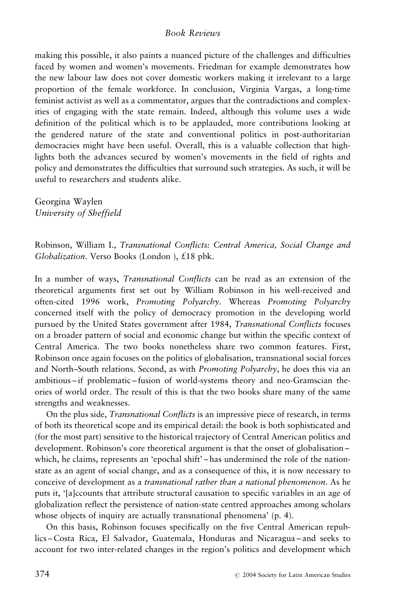making this possible, it also paints a nuanced picture of the challenges and difficulties faced by women and women's movements. Friedman for example demonstrates how the new labour law does not cover domestic workers making it irrelevant to a large proportion of the female workforce. In conclusion, Virginia Vargas, a long-time feminist activist as well as a commentator, argues that the contradictions and complexities of engaging with the state remain. Indeed, although this volume uses a wide definition of the political which is to be applauded, more contributions looking at the gendered nature of the state and conventional politics in post-authoritarian democracies might have been useful. Overall, this is a valuable collection that highlights both the advances secured by women's movements in the field of rights and policy and demonstrates the difficulties that surround such strategies. As such, it will be useful to researchers and students alike.

Georgina Waylen University of Sheffield

Robinson, William I., Transnational Conflicts: Central America, Social Change and Globalization. Verso Books (London ), £18 pbk.

In a number of ways, Transnational Conflicts can be read as an extension of the theoretical arguments first set out by William Robinson in his well-received and often-cited 1996 work, Promoting Polyarchy. Whereas Promoting Polyarchy concerned itself with the policy of democracy promotion in the developing world pursued by the United States government after 1984, Transnational Conflicts focuses on a broader pattern of social and economic change but within the specific context of Central America. The two books nonetheless share two common features. First, Robinson once again focuses on the politics of globalisation, transnational social forces and North–South relations. Second, as with Promoting Polyarchy, he does this via an ambitious – if problematic – fusion of world-systems theory and neo-Gramscian theories of world order. The result of this is that the two books share many of the same strengths and weaknesses.

On the plus side, Transnational Conflicts is an impressive piece of research, in terms of both its theoretical scope and its empirical detail: the book is both sophisticated and (for the most part) sensitive to the historical trajectory of Central American politics and development. Robinson's core theoretical argument is that the onset of globalisation – which, he claims, represents an 'epochal shift' – has undermined the role of the nationstate as an agent of social change, and as a consequence of this, it is now necessary to conceive of development as a transnational rather than a national phenomenon. As he puts it, '[a]ccounts that attribute structural causation to specific variables in an age of globalization reflect the persistence of nation-state centred approaches among scholars whose objects of inquiry are actually transnational phenomena' (p. 4).

On this basis, Robinson focuses specifically on the five Central American republics – Costa Rica, El Salvador, Guatemala, Honduras and Nicaragua – and seeks to account for two inter-related changes in the region's politics and development which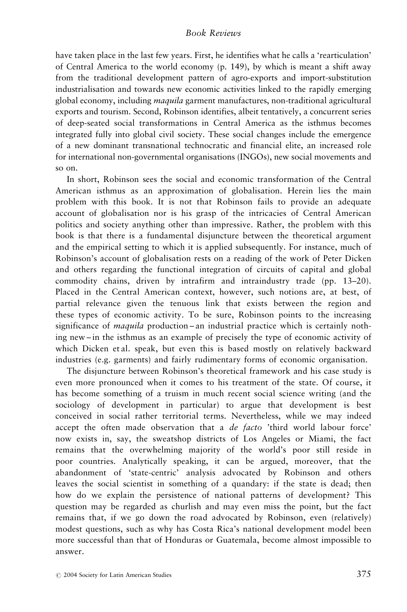have taken place in the last few years. First, he identifies what he calls a 'rearticulation' of Central America to the world economy (p. 149), by which is meant a shift away from the traditional development pattern of agro-exports and import-substitution industrialisation and towards new economic activities linked to the rapidly emerging global economy, including maquila garment manufactures, non-traditional agricultural exports and tourism. Second, Robinson identifies, albeit tentatively, a concurrent series of deep-seated social transformations in Central America as the isthmus becomes integrated fully into global civil society. These social changes include the emergence of a new dominant transnational technocratic and financial elite, an increased role for international non-governmental organisations (INGOs), new social movements and so on.

In short, Robinson sees the social and economic transformation of the Central American isthmus as an approximation of globalisation. Herein lies the main problem with this book. It is not that Robinson fails to provide an adequate account of globalisation nor is his grasp of the intricacies of Central American politics and society anything other than impressive. Rather, the problem with this book is that there is a fundamental disjuncture between the theoretical argument and the empirical setting to which it is applied subsequently. For instance, much of Robinson's account of globalisation rests on a reading of the work of Peter Dicken and others regarding the functional integration of circuits of capital and global commodity chains, driven by intrafirm and intraindustry trade (pp. 13–20). Placed in the Central American context, however, such notions are, at best, of partial relevance given the tenuous link that exists between the region and these types of economic activity. To be sure, Robinson points to the increasing significance of *maquila* production – an industrial practice which is certainly nothing new – in the isthmus as an example of precisely the type of economic activity of which Dicken et al. speak, but even this is based mostly on relatively backward industries (e.g. garments) and fairly rudimentary forms of economic organisation.

The disjuncture between Robinson's theoretical framework and his case study is even more pronounced when it comes to his treatment of the state. Of course, it has become something of a truism in much recent social science writing (and the sociology of development in particular) to argue that development is best conceived in social rather territorial terms. Nevertheless, while we may indeed accept the often made observation that a *de facto* 'third world labour force' now exists in, say, the sweatshop districts of Los Angeles or Miami, the fact remains that the overwhelming majority of the world's poor still reside in poor countries. Analytically speaking, it can be argued, moreover, that the abandonment of 'state-centric' analysis advocated by Robinson and others leaves the social scientist in something of a quandary: if the state is dead; then how do we explain the persistence of national patterns of development? This question may be regarded as churlish and may even miss the point, but the fact remains that, if we go down the road advocated by Robinson, even (relatively) modest questions, such as why has Costa Rica's national development model been more successful than that of Honduras or Guatemala, become almost impossible to answer.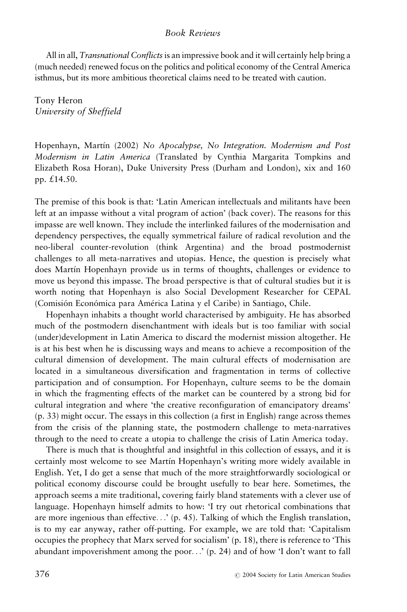All in all, *Transnational Conflicts* is an impressive book and it will certainly help bring a (much needed) renewed focus on the politics and political economy of the Central America isthmus, but its more ambitious theoretical claims need to be treated with caution.

Tony Heron University of Sheffield

Hopenhayn, Martín (2002) No Apocalypse, No Integration. Modernism and Post Modernism in Latin America (Translated by Cynthia Margarita Tompkins and Elizabeth Rosa Horan), Duke University Press (Durham and London), xix and 160 pp. £14.50.

The premise of this book is that: 'Latin American intellectuals and militants have been left at an impasse without a vital program of action' (back cover). The reasons for this impasse are well known. They include the interlinked failures of the modernisation and dependency perspectives, the equally symmetrical failure of radical revolution and the neo-liberal counter-revolution (think Argentina) and the broad postmodernist challenges to all meta-narratives and utopias. Hence, the question is precisely what does Martín Hopenhayn provide us in terms of thoughts, challenges or evidence to move us beyond this impasse. The broad perspective is that of cultural studies but it is worth noting that Hopenhayn is also Social Development Researcher for CEPAL (Comisión Económica para América Latina y el Caribe) in Santiago, Chile.

Hopenhayn inhabits a thought world characterised by ambiguity. He has absorbed much of the postmodern disenchantment with ideals but is too familiar with social (under)development in Latin America to discard the modernist mission altogether. He is at his best when he is discussing ways and means to achieve a recomposition of the cultural dimension of development. The main cultural effects of modernisation are located in a simultaneous diversification and fragmentation in terms of collective participation and of consumption. For Hopenhayn, culture seems to be the domain in which the fragmenting effects of the market can be countered by a strong bid for cultural integration and where 'the creative reconfiguration of emancipatory dreams' (p. 33) might occur. The essays in this collection (a first in English) range across themes from the crisis of the planning state, the postmodern challenge to meta-narratives through to the need to create a utopia to challenge the crisis of Latin America today.

There is much that is thoughtful and insightful in this collection of essays, and it is certainly most welcome to see Martin Hopenhayn's writing more widely available in English. Yet, I do get a sense that much of the more straightforwardly sociological or political economy discourse could be brought usefully to bear here. Sometimes, the approach seems a mite traditional, covering fairly bland statements with a clever use of language. Hopenhayn himself admits to how: 'I try out rhetorical combinations that are more ingenious than effective...' (p. 45). Talking of which the English translation, is to my ear anyway, rather off-putting. For example, we are told that: 'Capitalism occupies the prophecy that Marx served for socialism' (p. 18), there is reference to 'This abundant impoverishment among the poor...' (p. 24) and of how 'I don't want to fall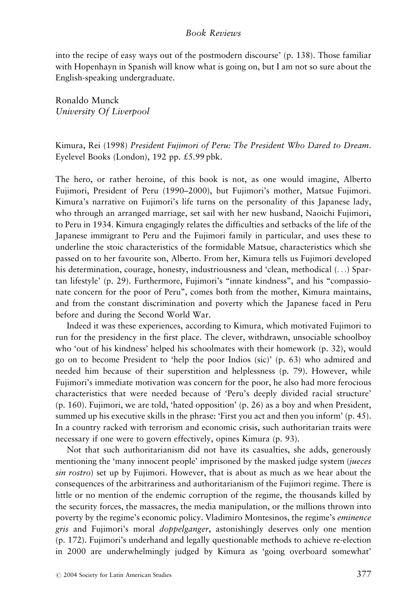into the recipe of easy ways out of the postmodern discourse' (p. 138). Those familiar with Hopenhayn in Spanish will know what is going on, but I am not so sure about the English-speaking undergraduate.

Ronaldo Munck University Of Liverpool

Kimura, Rei (1998) President Fujimori of Peru: The President Who Dared to Dream. Eyelevel Books (London), 192 pp. £5.99 pbk.

The hero, or rather heroine, of this book is not, as one would imagine, Alberto Fujimori, President of Peru (1990–2000), but Fujimori's mother, Matsue Fujimori. Kimura's narrative on Fujimori's life turns on the personality of this Japanese lady, who through an arranged marriage, set sail with her new husband, Naoichi Fujimori, to Peru in 1934. Kimura engagingly relates the difficulties and setbacks of the life of the Japanese immigrant to Peru and the Fujimori family in particular, and uses these to underline the stoic characteristics of the formidable Matsue, characteristics which she passed on to her favourite son, Alberto. From her, Kimura tells us Fujimori developed his determination, courage, honesty, industriousness and 'clean, methodical (...) Spartan lifestyle' (p. 29). Furthermore, Fujimori's ''innate kindness'', and his ''compassionate concern for the poor of Peru'', comes both from the mother, Kimura maintains, and from the constant discrimination and poverty which the Japanese faced in Peru before and during the Second World War.

Indeed it was these experiences, according to Kimura, which motivated Fujimori to run for the presidency in the first place. The clever, withdrawn, unsociable schoolboy who 'out of his kindness' helped his schoolmates with their homework (p. 32), would go on to become President to 'help the poor Indios (sic)' (p. 63) who admired and needed him because of their superstition and helplessness (p. 79). However, while Fujimori's immediate motivation was concern for the poor, he also had more ferocious characteristics that were needed because of 'Peru's deeply divided racial structure' (p. 160). Fujimori, we are told, 'hated opposition' (p. 26) as a boy and when President, summed up his executive skills in the phrase: 'First you act and then you inform' (p. 45). In a country racked with terrorism and economic crisis, such authoritarian traits were necessary if one were to govern effectively, opines Kimura (p. 93).

Not that such authoritarianism did not have its casualties, she adds, generously mentioning the 'many innocent people' imprisoned by the masked judge system (*jueces* sin rostro) set up by Fujimori. However, that is about as much as we hear about the consequences of the arbitrariness and authoritarianism of the Fujimori regime. There is little or no mention of the endemic corruption of the regime, the thousands killed by the security forces, the massacres, the media manipulation, or the millions thrown into poverty by the regime's economic policy. Vladimiro Montesinos, the regime's *eminence* gris and Fujimori's moral *doppelganger*, astonishingly deserves only one mention (p. 172). Fujimori's underhand and legally questionable methods to achieve re-election in 2000 are underwhelmingly judged by Kimura as 'going overboard somewhat'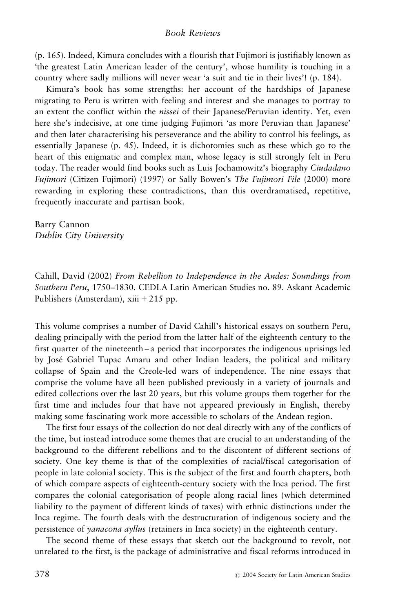(p. 165). Indeed, Kimura concludes with a flourish that Fujimori is justifiably known as 'the greatest Latin American leader of the century', whose humility is touching in a country where sadly millions will never wear 'a suit and tie in their lives'! (p. 184).

Kimura's book has some strengths: her account of the hardships of Japanese migrating to Peru is written with feeling and interest and she manages to portray to an extent the conflict within the *nissei* of their Japanese/Peruvian identity. Yet, even here she's indecisive, at one time judging Fujimori 'as more Peruvian than Japanese' and then later characterising his perseverance and the ability to control his feelings, as essentially Japanese (p. 45). Indeed, it is dichotomies such as these which go to the heart of this enigmatic and complex man, whose legacy is still strongly felt in Peru today. The reader would find books such as Luis Jochamowitz's biography Ciudadano Fujimori (Citizen Fujimori) (1997) or Sally Bowen's The Fujimori File (2000) more rewarding in exploring these contradictions, than this overdramatised, repetitive, frequently inaccurate and partisan book.

Barry Cannon Dublin City University

Cahill, David (2002) From Rebellion to Independence in the Andes: Soundings from Southern Peru, 1750–1830. CEDLA Latin American Studies no. 89. Askant Academic Publishers (Amsterdam), xiii  $+ 215$  pp.

This volume comprises a number of David Cahill's historical essays on southern Peru, dealing principally with the period from the latter half of the eighteenth century to the first quarter of the nineteenth – a period that incorporates the indigenous uprisings led by Jose´ Gabriel Tupac Amaru and other Indian leaders, the political and military collapse of Spain and the Creole-led wars of independence. The nine essays that comprise the volume have all been published previously in a variety of journals and edited collections over the last 20 years, but this volume groups them together for the first time and includes four that have not appeared previously in English, thereby making some fascinating work more accessible to scholars of the Andean region.

The first four essays of the collection do not deal directly with any of the conflicts of the time, but instead introduce some themes that are crucial to an understanding of the background to the different rebellions and to the discontent of different sections of society. One key theme is that of the complexities of racial/fiscal categorisation of people in late colonial society. This is the subject of the first and fourth chapters, both of which compare aspects of eighteenth-century society with the Inca period. The first compares the colonial categorisation of people along racial lines (which determined liability to the payment of different kinds of taxes) with ethnic distinctions under the Inca regime. The fourth deals with the destructuration of indigenous society and the persistence of yanacona ayllus (retainers in Inca society) in the eighteenth century.

The second theme of these essays that sketch out the background to revolt, not unrelated to the first, is the package of administrative and fiscal reforms introduced in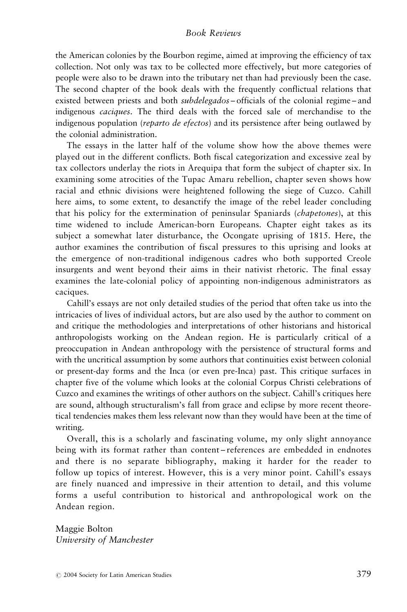the American colonies by the Bourbon regime, aimed at improving the efficiency of tax collection. Not only was tax to be collected more effectively, but more categories of people were also to be drawn into the tributary net than had previously been the case. The second chapter of the book deals with the frequently conflictual relations that existed between priests and both *subdelegados* – officials of the colonial regime – and indigenous caciques. The third deals with the forced sale of merchandise to the indigenous population (*reparto de efectos*) and its persistence after being outlawed by the colonial administration.

The essays in the latter half of the volume show how the above themes were played out in the different conflicts. Both fiscal categorization and excessive zeal by tax collectors underlay the riots in Arequipa that form the subject of chapter six. In examining some atrocities of the Tupac Amaru rebellion, chapter seven shows how racial and ethnic divisions were heightened following the siege of Cuzco. Cahill here aims, to some extent, to desanctify the image of the rebel leader concluding that his policy for the extermination of peninsular Spaniards *(chapetones)*, at this time widened to include American-born Europeans. Chapter eight takes as its subject a somewhat later disturbance, the Ocongate uprising of 1815. Here, the author examines the contribution of fiscal pressures to this uprising and looks at the emergence of non-traditional indigenous cadres who both supported Creole insurgents and went beyond their aims in their nativist rhetoric. The final essay examines the late-colonial policy of appointing non-indigenous administrators as caciques.

Cahill's essays are not only detailed studies of the period that often take us into the intricacies of lives of individual actors, but are also used by the author to comment on and critique the methodologies and interpretations of other historians and historical anthropologists working on the Andean region. He is particularly critical of a preoccupation in Andean anthropology with the persistence of structural forms and with the uncritical assumption by some authors that continuities exist between colonial or present-day forms and the Inca (or even pre-Inca) past. This critique surfaces in chapter five of the volume which looks at the colonial Corpus Christi celebrations of Cuzco and examines the writings of other authors on the subject. Cahill's critiques here are sound, although structuralism's fall from grace and eclipse by more recent theoretical tendencies makes them less relevant now than they would have been at the time of writing.

Overall, this is a scholarly and fascinating volume, my only slight annoyance being with its format rather than content – references are embedded in endnotes and there is no separate bibliography, making it harder for the reader to follow up topics of interest. However, this is a very minor point. Cahill's essays are finely nuanced and impressive in their attention to detail, and this volume forms a useful contribution to historical and anthropological work on the Andean region.

Maggie Bolton University of Manchester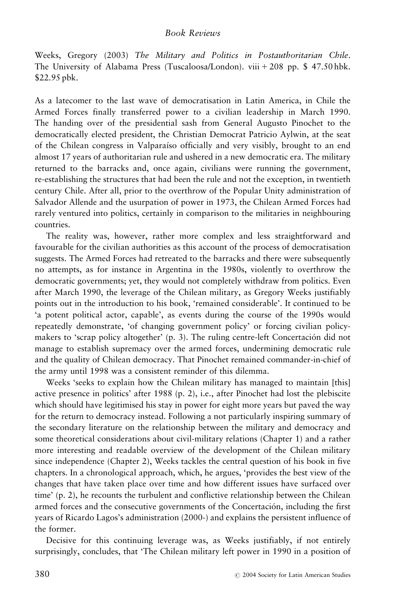Weeks, Gregory (2003) The Military and Politics in Postauthoritarian Chile. The University of Alabama Press (Tuscaloosa/London). viii  $+208$  pp. \$ 47.50 hbk. \$22.95 pbk.

As a latecomer to the last wave of democratisation in Latin America, in Chile the Armed Forces finally transferred power to a civilian leadership in March 1990. The handing over of the presidential sash from General Augusto Pinochet to the democratically elected president, the Christian Democrat Patricio Aylwin, at the seat of the Chilean congress in Valparaı´so officially and very visibly, brought to an end almost 17 years of authoritarian rule and ushered in a new democratic era. The military returned to the barracks and, once again, civilians were running the government, re-establishing the structures that had been the rule and not the exception, in twentieth century Chile. After all, prior to the overthrow of the Popular Unity administration of Salvador Allende and the usurpation of power in 1973, the Chilean Armed Forces had rarely ventured into politics, certainly in comparison to the militaries in neighbouring countries.

The reality was, however, rather more complex and less straightforward and favourable for the civilian authorities as this account of the process of democratisation suggests. The Armed Forces had retreated to the barracks and there were subsequently no attempts, as for instance in Argentina in the 1980s, violently to overthrow the democratic governments; yet, they would not completely withdraw from politics. Even after March 1990, the leverage of the Chilean military, as Gregory Weeks justifiably points out in the introduction to his book, 'remained considerable'. It continued to be 'a potent political actor, capable', as events during the course of the 1990s would repeatedly demonstrate, 'of changing government policy' or forcing civilian policymakers to 'scrap policy altogether' (p. 3). The ruling centre-left Concertación did not manage to establish supremacy over the armed forces, undermining democratic rule and the quality of Chilean democracy. That Pinochet remained commander-in-chief of the army until 1998 was a consistent reminder of this dilemma.

Weeks 'seeks to explain how the Chilean military has managed to maintain [this] active presence in politics' after 1988 (p. 2), i.e., after Pinochet had lost the plebiscite which should have legitimised his stay in power for eight more years but paved the way for the return to democracy instead. Following a not particularly inspiring summary of the secondary literature on the relationship between the military and democracy and some theoretical considerations about civil-military relations (Chapter 1) and a rather more interesting and readable overview of the development of the Chilean military since independence (Chapter 2), Weeks tackles the central question of his book in five chapters. In a chronological approach, which, he argues, 'provides the best view of the changes that have taken place over time and how different issues have surfaced over time' (p. 2), he recounts the turbulent and conflictive relationship between the Chilean armed forces and the consecutive governments of the Concertación, including the first years of Ricardo Lagos's administration (2000-) and explains the persistent influence of the former.

Decisive for this continuing leverage was, as Weeks justifiably, if not entirely surprisingly, concludes, that 'The Chilean military left power in 1990 in a position of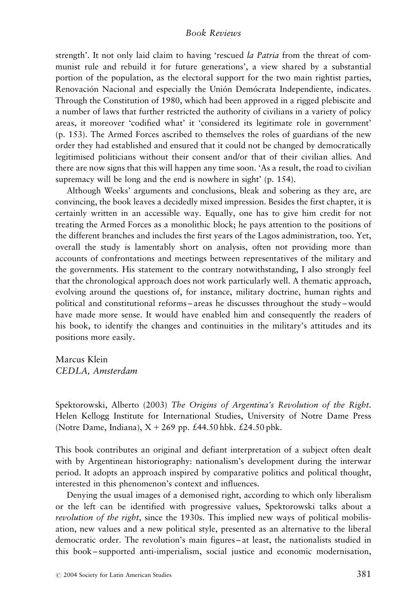strength'. It not only laid claim to having 'rescued *la Patria* from the threat of communist rule and rebuild it for future generations', a view shared by a substantial portion of the population, as the electoral support for the two main rightist parties, Renovación Nacional and especially the Unión Demócrata Independiente, indicates. Through the Constitution of 1980, which had been approved in a rigged plebiscite and a number of laws that further restricted the authority of civilians in a variety of policy areas, it moreover 'codified what' it 'considered its legitimate role in government' (p. 153). The Armed Forces ascribed to themselves the roles of guardians of the new order they had established and ensured that it could not be changed by democratically legitimised politicians without their consent and/or that of their civilian allies. And there are now signs that this will happen any time soon. 'As a result, the road to civilian supremacy will be long and the end is nowhere in sight' (p. 154).

Although Weeks' arguments and conclusions, bleak and sobering as they are, are convincing, the book leaves a decidedly mixed impression. Besides the first chapter, it is certainly written in an accessible way. Equally, one has to give him credit for not treating the Armed Forces as a monolithic block; he pays attention to the positions of the different branches and includes the first years of the Lagos administration, too. Yet, overall the study is lamentably short on analysis, often not providing more than accounts of confrontations and meetings between representatives of the military and the governments. His statement to the contrary notwithstanding, I also strongly feel that the chronological approach does not work particularly well. A thematic approach, evolving around the questions of, for instance, military doctrine, human rights and political and constitutional reforms – areas he discusses throughout the study – would have made more sense. It would have enabled him and consequently the readers of his book, to identify the changes and continuities in the military's attitudes and its positions more easily.

Marcus Klein CEDLA, Amsterdam

Spektorowski, Alberto (2003) The Origins of Argentina's Revolution of the Right. Helen Kellogg Institute for International Studies, University of Notre Dame Press (Notre Dame, Indiana),  $X + 269$  pp. £44.50 hbk. £24.50 pbk.

This book contributes an original and defiant interpretation of a subject often dealt with by Argentinean historiography: nationalism's development during the interwar period. It adopts an approach inspired by comparative politics and political thought, interested in this phenomenon's context and influences.

Denying the usual images of a demonised right, according to which only liberalism or the left can be identified with progressive values, Spektorowski talks about a revolution of the right, since the 1930s. This implied new ways of political mobilisation, new values and a new political style, presented as an alternative to the liberal democratic order. The revolution's main figures – at least, the nationalists studied in this book – supported anti-imperialism, social justice and economic modernisation,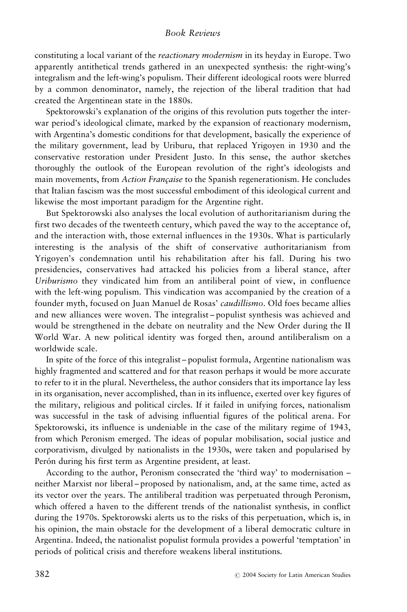constituting a local variant of the reactionary modernism in its heyday in Europe. Two apparently antithetical trends gathered in an unexpected synthesis: the right-wing's integralism and the left-wing's populism. Their different ideological roots were blurred by a common denominator, namely, the rejection of the liberal tradition that had created the Argentinean state in the 1880s.

Spektorowski's explanation of the origins of this revolution puts together the interwar period's ideological climate, marked by the expansion of reactionary modernism, with Argentina's domestic conditions for that development, basically the experience of the military government, lead by Uriburu, that replaced Yrigoyen in 1930 and the conservative restoration under President Justo. In this sense, the author sketches thoroughly the outlook of the European revolution of the right's ideologists and main movements, from Action Française to the Spanish regenerationism. He concludes that Italian fascism was the most successful embodiment of this ideological current and likewise the most important paradigm for the Argentine right.

But Spektorowski also analyses the local evolution of authoritarianism during the first two decades of the twenteeth century, which paved the way to the acceptance of, and the interaction with, those external influences in the 1930s. What is particularly interesting is the analysis of the shift of conservative authoritarianism from Yrigoyen's condemnation until his rehabilitation after his fall. During his two presidencies, conservatives had attacked his policies from a liberal stance, after Uriburismo they vindicated him from an antiliberal point of view, in confluence with the left-wing populism. This vindication was accompanied by the creation of a founder myth, focused on Juan Manuel de Rosas' caudillismo. Old foes became allies and new alliances were woven. The integralist – populist synthesis was achieved and would be strengthened in the debate on neutrality and the New Order during the II World War. A new political identity was forged then, around antiliberalism on a worldwide scale.

In spite of the force of this integralist – populist formula, Argentine nationalism was highly fragmented and scattered and for that reason perhaps it would be more accurate to refer to it in the plural. Nevertheless, the author considers that its importance lay less in its organisation, never accomplished, than in its influence, exerted over key figures of the military, religious and political circles. If it failed in unifying forces, nationalism was successful in the task of advising influential figures of the political arena. For Spektorowski, its influence is undeniable in the case of the military regime of 1943, from which Peronism emerged. The ideas of popular mobilisation, social justice and corporativism, divulged by nationalists in the 1930s, were taken and popularised by Perón during his first term as Argentine president, at least.

According to the author, Peronism consecrated the 'third way' to modernisation – neither Marxist nor liberal – proposed by nationalism, and, at the same time, acted as its vector over the years. The antiliberal tradition was perpetuated through Peronism, which offered a haven to the different trends of the nationalist synthesis, in conflict during the 1970s. Spektorowski alerts us to the risks of this perpetuation, which is, in his opinion, the main obstacle for the development of a liberal democratic culture in Argentina. Indeed, the nationalist populist formula provides a powerful 'temptation' in periods of political crisis and therefore weakens liberal institutions.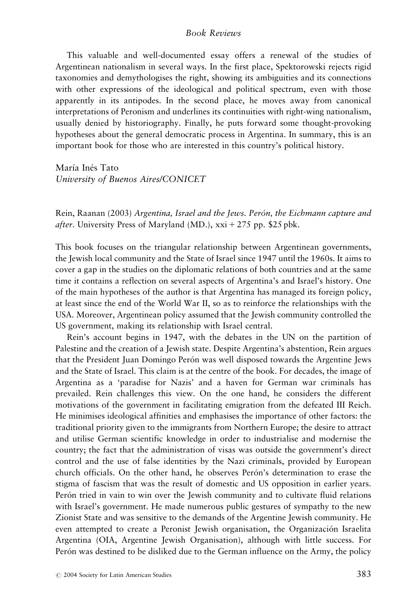This valuable and well-documented essay offers a renewal of the studies of Argentinean nationalism in several ways. In the first place, Spektorowski rejects rigid taxonomies and demythologises the right, showing its ambiguities and its connections with other expressions of the ideological and political spectrum, even with those apparently in its antipodes. In the second place, he moves away from canonical interpretations of Peronism and underlines its continuities with right-wing nationalism, usually denied by historiography. Finally, he puts forward some thought-provoking hypotheses about the general democratic process in Argentina. In summary, this is an important book for those who are interested in this country's political history.

María Inés Tato University of Buenos Aires/CONICET

Rein, Raanan (2003) Argentina, Israel and the Jews. Perón, the Eichmann capture and *after*. University Press of Maryland (MD.),  $xxi + 275$  pp. \$25 pbk.

This book focuses on the triangular relationship between Argentinean governments, the Jewish local community and the State of Israel since 1947 until the 1960s. It aims to cover a gap in the studies on the diplomatic relations of both countries and at the same time it contains a reflection on several aspects of Argentina's and Israel's history. One of the main hypotheses of the author is that Argentina has managed its foreign policy, at least since the end of the World War II, so as to reinforce the relationships with the USA. Moreover, Argentinean policy assumed that the Jewish community controlled the US government, making its relationship with Israel central.

Rein's account begins in 1947, with the debates in the UN on the partition of Palestine and the creation of a Jewish state. Despite Argentina's abstention, Rein argues that the President Juan Domingo Perón was well disposed towards the Argentine Jews and the State of Israel. This claim is at the centre of the book. For decades, the image of Argentina as a 'paradise for Nazis' and a haven for German war criminals has prevailed. Rein challenges this view. On the one hand, he considers the different motivations of the government in facilitating emigration from the defeated III Reich. He minimises ideological affinities and emphasises the importance of other factors: the traditional priority given to the immigrants from Northern Europe; the desire to attract and utilise German scientific knowledge in order to industrialise and modernise the country; the fact that the administration of visas was outside the government's direct control and the use of false identities by the Nazi criminals, provided by European church officials. On the other hand, he observes Perón's determination to erase the stigma of fascism that was the result of domestic and US opposition in earlier years. Perón tried in vain to win over the Jewish community and to cultivate fluid relations with Israel's government. He made numerous public gestures of sympathy to the new Zionist State and was sensitive to the demands of the Argentine Jewish community. He even attempted to create a Peronist Jewish organisation, the Organización Israelita Argentina (OIA, Argentine Jewish Organisation), although with little success. For Perón was destined to be disliked due to the German influence on the Army, the policy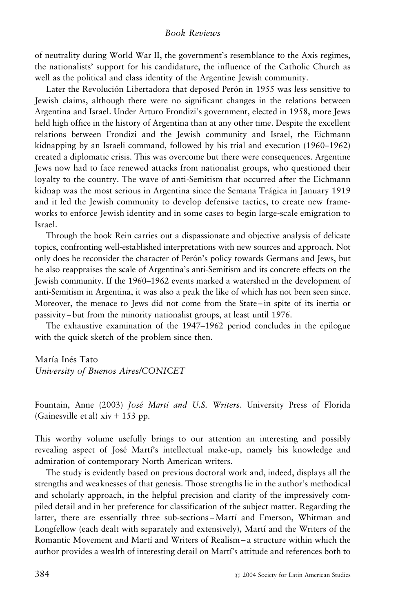of neutrality during World War II, the government's resemblance to the Axis regimes, the nationalists' support for his candidature, the influence of the Catholic Church as well as the political and class identity of the Argentine Jewish community.

Later the Revolución Libertadora that deposed Perón in 1955 was less sensitive to Jewish claims, although there were no significant changes in the relations between Argentina and Israel. Under Arturo Frondizi's government, elected in 1958, more Jews held high office in the history of Argentina than at any other time. Despite the excellent relations between Frondizi and the Jewish community and Israel, the Eichmann kidnapping by an Israeli command, followed by his trial and execution (1960–1962) created a diplomatic crisis. This was overcome but there were consequences. Argentine Jews now had to face renewed attacks from nationalist groups, who questioned their loyalty to the country. The wave of anti-Semitism that occurred after the Eichmann kidnap was the most serious in Argentina since the Semana Trágica in January 1919 and it led the Jewish community to develop defensive tactics, to create new frameworks to enforce Jewish identity and in some cases to begin large-scale emigration to Israel.

Through the book Rein carries out a dispassionate and objective analysis of delicate topics, confronting well-established interpretations with new sources and approach. Not only does he reconsider the character of Perón's policy towards Germans and Jews, but he also reappraises the scale of Argentina's anti-Semitism and its concrete effects on the Jewish community. If the 1960–1962 events marked a watershed in the development of anti-Semitism in Argentina, it was also a peak the like of which has not been seen since. Moreover, the menace to Jews did not come from the State – in spite of its inertia or passivity – but from the minority nationalist groups, at least until 1976.

The exhaustive examination of the 1947–1962 period concludes in the epilogue with the quick sketch of the problem since then.

María Inés Tato University of Buenos Aires/CONICET

Fountain, Anne (2003) José Martí and U.S. Writers. University Press of Florida (Gainesville et al)  $xiv + 153$  pp.

This worthy volume usefully brings to our attention an interesting and possibly revealing aspect of José Martí's intellectual make-up, namely his knowledge and admiration of contemporary North American writers.

The study is evidently based on previous doctoral work and, indeed, displays all the strengths and weaknesses of that genesis. Those strengths lie in the author's methodical and scholarly approach, in the helpful precision and clarity of the impressively compiled detail and in her preference for classification of the subject matter. Regarding the latter, there are essentially three sub-sections - Martí and Emerson, Whitman and Longfellow (each dealt with separately and extensively), Martí and the Writers of the Romantic Movement and Martí and Writers of Realism – a structure within which the author provides a wealth of interesting detail on Martı´'s attitude and references both to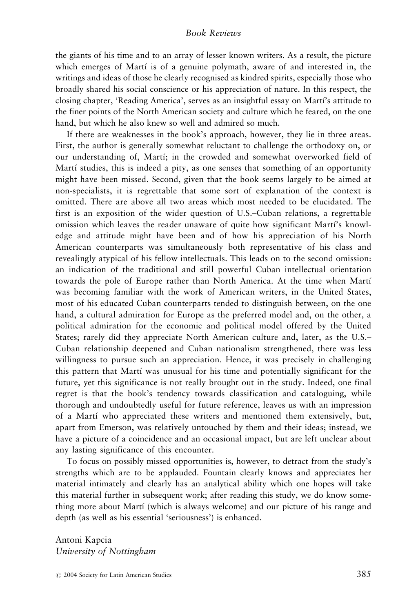the giants of his time and to an array of lesser known writers. As a result, the picture which emerges of Martí is of a genuine polymath, aware of and interested in, the writings and ideas of those he clearly recognised as kindred spirits, especially those who broadly shared his social conscience or his appreciation of nature. In this respect, the closing chapter, 'Reading America', serves as an insightful essay on Martı´'s attitude to the finer points of the North American society and culture which he feared, on the one hand, but which he also knew so well and admired so much.

If there are weaknesses in the book's approach, however, they lie in three areas. First, the author is generally somewhat reluctant to challenge the orthodoxy on, or our understanding of, Martí; in the crowded and somewhat overworked field of Martí studies, this is indeed a pity, as one senses that something of an opportunity might have been missed. Second, given that the book seems largely to be aimed at non-specialists, it is regrettable that some sort of explanation of the context is omitted. There are above all two areas which most needed to be elucidated. The first is an exposition of the wider question of U.S.–Cuban relations, a regrettable omission which leaves the reader unaware of quite how significant Martı´'s knowledge and attitude might have been and of how his appreciation of his North American counterparts was simultaneously both representative of his class and revealingly atypical of his fellow intellectuals. This leads on to the second omission: an indication of the traditional and still powerful Cuban intellectual orientation towards the pole of Europe rather than North America. At the time when Martı´ was becoming familiar with the work of American writers, in the United States, most of his educated Cuban counterparts tended to distinguish between, on the one hand, a cultural admiration for Europe as the preferred model and, on the other, a political admiration for the economic and political model offered by the United States; rarely did they appreciate North American culture and, later, as the U.S.– Cuban relationship deepened and Cuban nationalism strengthened, there was less willingness to pursue such an appreciation. Hence, it was precisely in challenging this pattern that Martı´ was unusual for his time and potentially significant for the future, yet this significance is not really brought out in the study. Indeed, one final regret is that the book's tendency towards classification and cataloguing, while thorough and undoubtedly useful for future reference, leaves us with an impression of a Martı´ who appreciated these writers and mentioned them extensively, but, apart from Emerson, was relatively untouched by them and their ideas; instead, we have a picture of a coincidence and an occasional impact, but are left unclear about any lasting significance of this encounter.

To focus on possibly missed opportunities is, however, to detract from the study's strengths which are to be applauded. Fountain clearly knows and appreciates her material intimately and clearly has an analytical ability which one hopes will take this material further in subsequent work; after reading this study, we do know something more about Martı´ (which is always welcome) and our picture of his range and depth (as well as his essential 'seriousness') is enhanced.

Antoni Kapcia University of Nottingham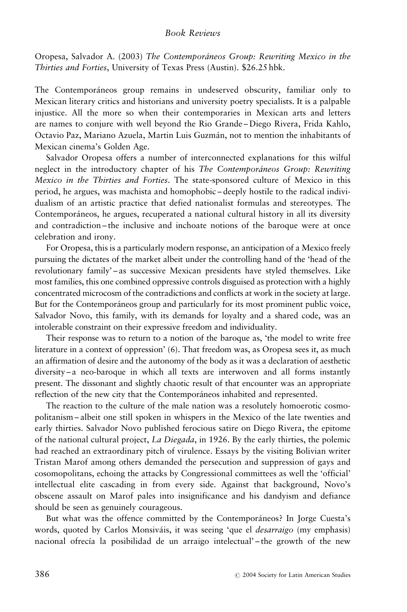Oropesa, Salvador A. (2003) The Contemporáneos Group: Rewriting Mexico in the Thirties and Forties, University of Texas Press (Austin). \$26.25 hbk.

The Contemporáneos group remains in undeserved obscurity, familiar only to Mexican literary critics and historians and university poetry specialists. It is a palpable injustice. All the more so when their contemporaries in Mexican arts and letters are names to conjure with well beyond the Rio Grande – Diego Rivera, Frida Kahlo, Octavio Paz, Mariano Azuela, Martin Luis Guzma´n, not to mention the inhabitants of Mexican cinema's Golden Age.

Salvador Oropesa offers a number of interconnected explanations for this wilful neglect in the introductory chapter of his The Contemporáneos Group: Rewriting Mexico in the Thirties and Forties. The state-sponsored culture of Mexico in this period, he argues, was machista and homophobic – deeply hostile to the radical individualism of an artistic practice that defied nationalist formulas and stereotypes. The Contemporáneos, he argues, recuperated a national cultural history in all its diversity and contradiction – the inclusive and inchoate notions of the baroque were at once celebration and irony.

For Oropesa, this is a particularly modern response, an anticipation of a Mexico freely pursuing the dictates of the market albeit under the controlling hand of the 'head of the revolutionary family' – as successive Mexican presidents have styled themselves. Like most families, this one combined oppressive controls disguised as protection with a highly concentrated microcosm of the contradictions and conflicts at work in the society at large. But for the Contemporáneos group and particularly for its most prominent public voice, Salvador Novo, this family, with its demands for loyalty and a shared code, was an intolerable constraint on their expressive freedom and individuality.

Their response was to return to a notion of the baroque as, 'the model to write free literature in a context of oppression' (6). That freedom was, as Oropesa sees it, as much an affirmation of desire and the autonomy of the body as it was a declaration of aesthetic diversity – a neo-baroque in which all texts are interwoven and all forms instantly present. The dissonant and slightly chaotic result of that encounter was an appropriate reflection of the new city that the Contemporáneos inhabited and represented.

The reaction to the culture of the male nation was a resolutely homoerotic cosmopolitanism – albeit one still spoken in whispers in the Mexico of the late twenties and early thirties. Salvador Novo published ferocious satire on Diego Rivera, the epitome of the national cultural project, La Diegada, in 1926. By the early thirties, the polemic had reached an extraordinary pitch of virulence. Essays by the visiting Bolivian writer Tristan Marof among others demanded the persecution and suppression of gays and cosomopolitans, echoing the attacks by Congressional committees as well the 'official' intellectual elite cascading in from every side. Against that background, Novo's obscene assault on Marof pales into insignificance and his dandyism and defiance should be seen as genuinely courageous.

But what was the offence committed by the Contemporáneos? In Jorge Cuesta's words, quoted by Carlos Monsiváis, it was seeing 'que el *desarraigo* (my emphasis) nacional ofrecía la posibilidad de un arraigo intelectual' – the growth of the new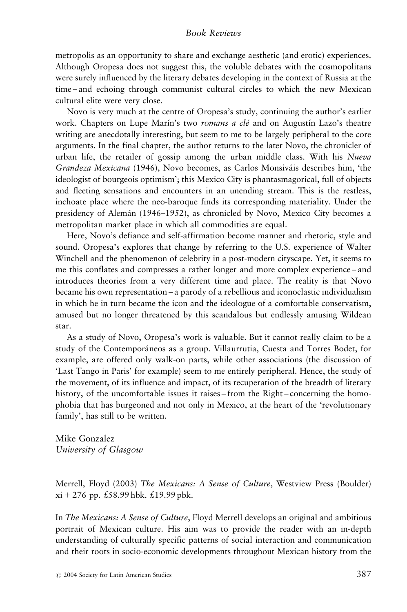metropolis as an opportunity to share and exchange aesthetic (and erotic) experiences. Although Oropesa does not suggest this, the voluble debates with the cosmopolitans were surely influenced by the literary debates developing in the context of Russia at the time – and echoing through communist cultural circles to which the new Mexican cultural elite were very close.

Novo is very much at the centre of Oropesa's study, continuing the author's earlier work. Chapters on Lupe Marín's two *romans a clé* and on Augustín Lazo's theatre writing are anecdotally interesting, but seem to me to be largely peripheral to the core arguments. In the final chapter, the author returns to the later Novo, the chronicler of urban life, the retailer of gossip among the urban middle class. With his Nueva Grandeza Mexicana (1946), Novo becomes, as Carlos Monsiváis describes him, 'the ideologist of bourgeois optimism'; this Mexico City is phantasmagorical, full of objects and fleeting sensations and encounters in an unending stream. This is the restless, inchoate place where the neo-baroque finds its corresponding materiality. Under the presidency of Alemán (1946–1952), as chronicled by Novo, Mexico City becomes a metropolitan market place in which all commodities are equal.

Here, Novo's defiance and self-affirmation become manner and rhetoric, style and sound. Oropesa's explores that change by referring to the U.S. experience of Walter Winchell and the phenomenon of celebrity in a post-modern cityscape. Yet, it seems to me this conflates and compresses a rather longer and more complex experience – and introduces theories from a very different time and place. The reality is that Novo became his own representation – a parody of a rebellious and iconoclastic individualism in which he in turn became the icon and the ideologue of a comfortable conservatism, amused but no longer threatened by this scandalous but endlessly amusing Wildean star.

As a study of Novo, Oropesa's work is valuable. But it cannot really claim to be a study of the Contemporáneos as a group. Villaurrutia, Cuesta and Torres Bodet, for example, are offered only walk-on parts, while other associations (the discussion of 'Last Tango in Paris' for example) seem to me entirely peripheral. Hence, the study of the movement, of its influence and impact, of its recuperation of the breadth of literary history, of the uncomfortable issues it raises – from the Right – concerning the homophobia that has burgeoned and not only in Mexico, at the heart of the 'revolutionary family', has still to be written.

Mike Gonzalez University of Glasgow

Merrell, Floyd (2003) The Mexicans: A Sense of Culture, Westview Press (Boulder)  $xi + 276$  pp. £58.99 hbk. £19.99 pbk.

In The Mexicans: A Sense of Culture, Floyd Merrell develops an original and ambitious portrait of Mexican culture. His aim was to provide the reader with an in-depth understanding of culturally specific patterns of social interaction and communication and their roots in socio-economic developments throughout Mexican history from the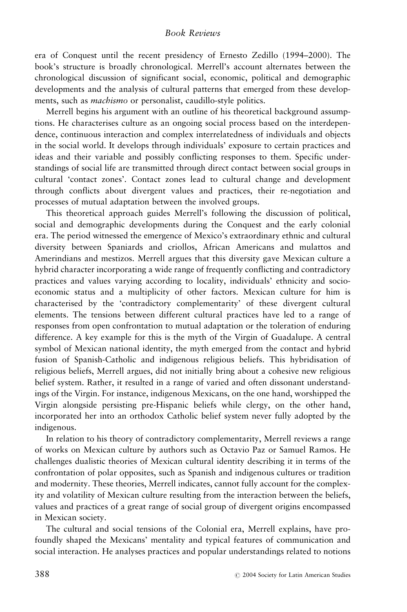era of Conquest until the recent presidency of Ernesto Zedillo (1994–2000). The book's structure is broadly chronological. Merrell's account alternates between the chronological discussion of significant social, economic, political and demographic developments and the analysis of cultural patterns that emerged from these developments, such as *machismo* or personalist, caudillo-style politics.

Merrell begins his argument with an outline of his theoretical background assumptions. He characterises culture as an ongoing social process based on the interdependence, continuous interaction and complex interrelatedness of individuals and objects in the social world. It develops through individuals' exposure to certain practices and ideas and their variable and possibly conflicting responses to them. Specific understandings of social life are transmitted through direct contact between social groups in cultural 'contact zones'. Contact zones lead to cultural change and development through conflicts about divergent values and practices, their re-negotiation and processes of mutual adaptation between the involved groups.

This theoretical approach guides Merrell's following the discussion of political, social and demographic developments during the Conquest and the early colonial era. The period witnessed the emergence of Mexico's extraordinary ethnic and cultural diversity between Spaniards and criollos, African Americans and mulattos and Amerindians and mestizos. Merrell argues that this diversity gave Mexican culture a hybrid character incorporating a wide range of frequently conflicting and contradictory practices and values varying according to locality, individuals' ethnicity and socioeconomic status and a multiplicity of other factors. Mexican culture for him is characterised by the 'contradictory complementarity' of these divergent cultural elements. The tensions between different cultural practices have led to a range of responses from open confrontation to mutual adaptation or the toleration of enduring difference. A key example for this is the myth of the Virgin of Guadalupe. A central symbol of Mexican national identity, the myth emerged from the contact and hybrid fusion of Spanish-Catholic and indigenous religious beliefs. This hybridisation of religious beliefs, Merrell argues, did not initially bring about a cohesive new religious belief system. Rather, it resulted in a range of varied and often dissonant understandings of the Virgin. For instance, indigenous Mexicans, on the one hand, worshipped the Virgin alongside persisting pre-Hispanic beliefs while clergy, on the other hand, incorporated her into an orthodox Catholic belief system never fully adopted by the indigenous.

In relation to his theory of contradictory complementarity, Merrell reviews a range of works on Mexican culture by authors such as Octavio Paz or Samuel Ramos. He challenges dualistic theories of Mexican cultural identity describing it in terms of the confrontation of polar opposites, such as Spanish and indigenous cultures or tradition and modernity. These theories, Merrell indicates, cannot fully account for the complexity and volatility of Mexican culture resulting from the interaction between the beliefs, values and practices of a great range of social group of divergent origins encompassed in Mexican society.

The cultural and social tensions of the Colonial era, Merrell explains, have profoundly shaped the Mexicans' mentality and typical features of communication and social interaction. He analyses practices and popular understandings related to notions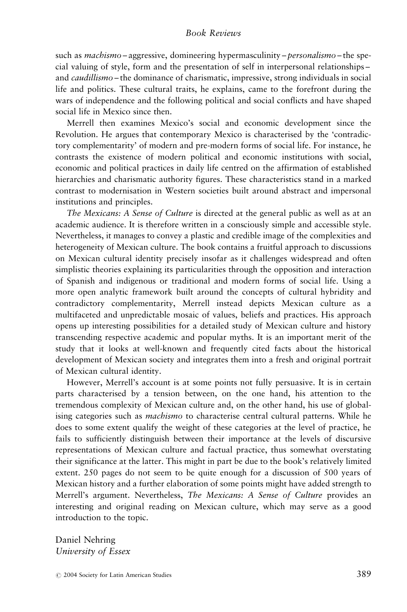such as *machismo* – aggressive, domineering hypermasculinity – *personalismo* – the special valuing of style, form and the presentation of self in interpersonal relationships – and *caudillismo* – the dominance of charismatic, impressive, strong individuals in social life and politics. These cultural traits, he explains, came to the forefront during the wars of independence and the following political and social conflicts and have shaped social life in Mexico since then.

Merrell then examines Mexico's social and economic development since the Revolution. He argues that contemporary Mexico is characterised by the 'contradictory complementarity' of modern and pre-modern forms of social life. For instance, he contrasts the existence of modern political and economic institutions with social, economic and political practices in daily life centred on the affirmation of established hierarchies and charismatic authority figures. These characteristics stand in a marked contrast to modernisation in Western societies built around abstract and impersonal institutions and principles.

The Mexicans: A Sense of Culture is directed at the general public as well as at an academic audience. It is therefore written in a consciously simple and accessible style. Nevertheless, it manages to convey a plastic and credible image of the complexities and heterogeneity of Mexican culture. The book contains a fruitful approach to discussions on Mexican cultural identity precisely insofar as it challenges widespread and often simplistic theories explaining its particularities through the opposition and interaction of Spanish and indigenous or traditional and modern forms of social life. Using a more open analytic framework built around the concepts of cultural hybridity and contradictory complementarity, Merrell instead depicts Mexican culture as a multifaceted and unpredictable mosaic of values, beliefs and practices. His approach opens up interesting possibilities for a detailed study of Mexican culture and history transcending respective academic and popular myths. It is an important merit of the study that it looks at well-known and frequently cited facts about the historical development of Mexican society and integrates them into a fresh and original portrait of Mexican cultural identity.

However, Merrell's account is at some points not fully persuasive. It is in certain parts characterised by a tension between, on the one hand, his attention to the tremendous complexity of Mexican culture and, on the other hand, his use of globalising categories such as *machismo* to characterise central cultural patterns. While he does to some extent qualify the weight of these categories at the level of practice, he fails to sufficiently distinguish between their importance at the levels of discursive representations of Mexican culture and factual practice, thus somewhat overstating their significance at the latter. This might in part be due to the book's relatively limited extent. 250 pages do not seem to be quite enough for a discussion of 500 years of Mexican history and a further elaboration of some points might have added strength to Merrell's argument. Nevertheless, The Mexicans: A Sense of Culture provides an interesting and original reading on Mexican culture, which may serve as a good introduction to the topic.

Daniel Nehring University of Essex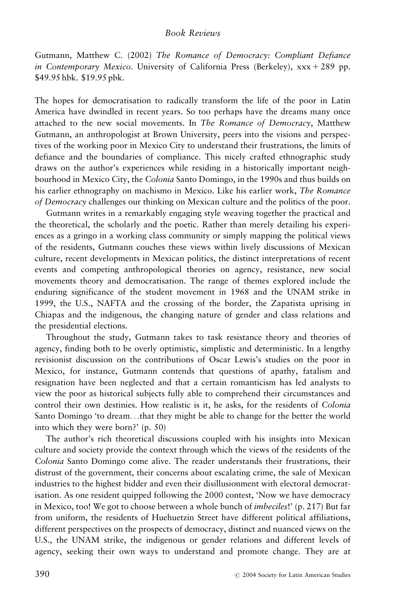Gutmann, Matthew C. (2002) The Romance of Democracy: Compliant Defiance in Contemporary Mexico. University of California Press (Berkeley),  $xxx + 289$  pp. \$49.95 hbk. \$19.95 pbk.

The hopes for democratisation to radically transform the life of the poor in Latin America have dwindled in recent years. So too perhaps have the dreams many once attached to the new social movements. In The Romance of Democracy, Matthew Gutmann, an anthropologist at Brown University, peers into the visions and perspectives of the working poor in Mexico City to understand their frustrations, the limits of defiance and the boundaries of compliance. This nicely crafted ethnographic study draws on the author's experiences while residing in a historically important neighbourhood in Mexico City, the Colonia Santo Domingo, in the 1990s and thus builds on his earlier ethnography on machismo in Mexico. Like his earlier work, The Romance of Democracy challenges our thinking on Mexican culture and the politics of the poor.

Gutmann writes in a remarkably engaging style weaving together the practical and the theoretical, the scholarly and the poetic. Rather than merely detailing his experiences as a gringo in a working class community or simply mapping the political views of the residents, Gutmann couches these views within lively discussions of Mexican culture, recent developments in Mexican politics, the distinct interpretations of recent events and competing anthropological theories on agency, resistance, new social movements theory and democratisation. The range of themes explored include the enduring significance of the student movement in 1968 and the UNAM strike in 1999, the U.S., NAFTA and the crossing of the border, the Zapatista uprising in Chiapas and the indigenous, the changing nature of gender and class relations and the presidential elections.

Throughout the study, Gutmann takes to task resistance theory and theories of agency, finding both to be overly optimistic, simplistic and deterministic. In a lengthy revisionist discussion on the contributions of Oscar Lewis's studies on the poor in Mexico, for instance, Gutmann contends that questions of apathy, fatalism and resignation have been neglected and that a certain romanticism has led analysts to view the poor as historical subjects fully able to comprehend their circumstances and control their own destinies. How realistic is it, he asks, for the residents of Colonia Santo Domingo 'to dream...that they might be able to change for the better the world into which they were born?' (p. 50)

The author's rich theoretical discussions coupled with his insights into Mexican culture and society provide the context through which the views of the residents of the Colonia Santo Domingo come alive. The reader understands their frustrations, their distrust of the government, their concerns about escalating crime, the sale of Mexican industries to the highest bidder and even their disillusionment with electoral democratisation. As one resident quipped following the 2000 contest, 'Now we have democracy in Mexico, too! We got to choose between a whole bunch of imbeciles!' (p. 217) But far from uniform, the residents of Huehuetzin Street have different political affiliations, different perspectives on the prospects of democracy, distinct and nuanced views on the U.S., the UNAM strike, the indigenous or gender relations and different levels of agency, seeking their own ways to understand and promote change. They are at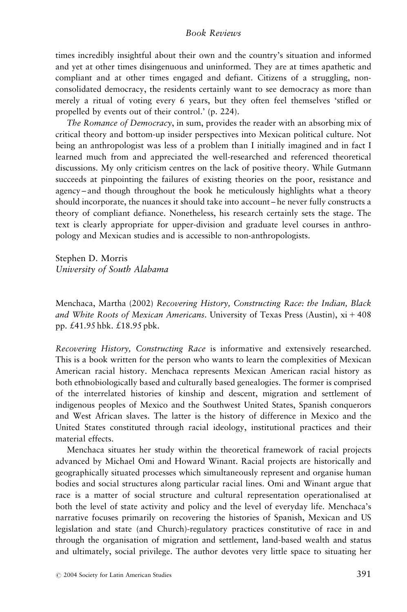times incredibly insightful about their own and the country's situation and informed and yet at other times disingenuous and uninformed. They are at times apathetic and compliant and at other times engaged and defiant. Citizens of a struggling, nonconsolidated democracy, the residents certainly want to see democracy as more than merely a ritual of voting every 6 years, but they often feel themselves 'stifled or propelled by events out of their control.' (p. 224).

The Romance of Democracy, in sum, provides the reader with an absorbing mix of critical theory and bottom-up insider perspectives into Mexican political culture. Not being an anthropologist was less of a problem than I initially imagined and in fact I learned much from and appreciated the well-researched and referenced theoretical discussions. My only criticism centres on the lack of positive theory. While Gutmann succeeds at pinpointing the failures of existing theories on the poor, resistance and agency – and though throughout the book he meticulously highlights what a theory should incorporate, the nuances it should take into account – he never fully constructs a theory of compliant defiance. Nonetheless, his research certainly sets the stage. The text is clearly appropriate for upper-division and graduate level courses in anthropology and Mexican studies and is accessible to non-anthropologists.

Stephen D. Morris University of South Alabama

Menchaca, Martha (2002) Recovering History, Constructing Race: the Indian, Black and White Roots of Mexican Americans. University of Texas Press (Austin),  $xi + 408$ pp. £41.95 hbk. £18.95 pbk.

Recovering History, Constructing Race is informative and extensively researched. This is a book written for the person who wants to learn the complexities of Mexican American racial history. Menchaca represents Mexican American racial history as both ethnobiologically based and culturally based genealogies. The former is comprised of the interrelated histories of kinship and descent, migration and settlement of indigenous peoples of Mexico and the Southwest United States, Spanish conquerors and West African slaves. The latter is the history of difference in Mexico and the United States constituted through racial ideology, institutional practices and their material effects.

Menchaca situates her study within the theoretical framework of racial projects advanced by Michael Omi and Howard Winant. Racial projects are historically and geographically situated processes which simultaneously represent and organise human bodies and social structures along particular racial lines. Omi and Winant argue that race is a matter of social structure and cultural representation operationalised at both the level of state activity and policy and the level of everyday life. Menchaca's narrative focuses primarily on recovering the histories of Spanish, Mexican and US legislation and state (and Church)-regulatory practices constitutive of race in and through the organisation of migration and settlement, land-based wealth and status and ultimately, social privilege. The author devotes very little space to situating her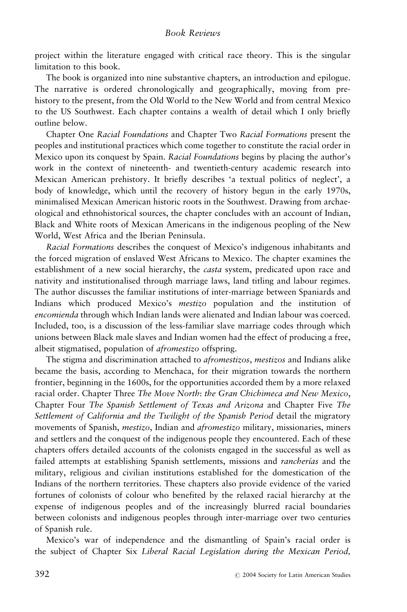project within the literature engaged with critical race theory. This is the singular limitation to this book.

The book is organized into nine substantive chapters, an introduction and epilogue. The narrative is ordered chronologically and geographically, moving from prehistory to the present, from the Old World to the New World and from central Mexico to the US Southwest. Each chapter contains a wealth of detail which I only briefly outline below.

Chapter One Racial Foundations and Chapter Two Racial Formations present the peoples and institutional practices which come together to constitute the racial order in Mexico upon its conquest by Spain. Racial Foundations begins by placing the author's work in the context of nineteenth- and twentieth-century academic research into Mexican American prehistory. It briefly describes 'a textual politics of neglect', a body of knowledge, which until the recovery of history begun in the early 1970s, minimalised Mexican American historic roots in the Southwest. Drawing from archaeological and ethnohistorical sources, the chapter concludes with an account of Indian, Black and White roots of Mexican Americans in the indigenous peopling of the New World, West Africa and the Iberian Peninsula.

Racial Formations describes the conquest of Mexico's indigenous inhabitants and the forced migration of enslaved West Africans to Mexico. The chapter examines the establishment of a new social hierarchy, the *casta* system, predicated upon race and nativity and institutionalised through marriage laws, land titling and labour regimes. The author discusses the familiar institutions of inter-marriage between Spaniards and Indians which produced Mexico's mestizo population and the institution of encomienda through which Indian lands were alienated and Indian labour was coerced. Included, too, is a discussion of the less-familiar slave marriage codes through which unions between Black male slaves and Indian women had the effect of producing a free, albeit stigmatised, population of afromestizo offspring.

The stigma and discrimination attached to afromestizos, mestizos and Indians alike became the basis, according to Menchaca, for their migration towards the northern frontier, beginning in the 1600s, for the opportunities accorded them by a more relaxed racial order. Chapter Three The Move North: the Gran Chichimeca and New Mexico, Chapter Four The Spanish Settlement of Texas and Arizona and Chapter Five The Settlement of California and the Twilight of the Spanish Period detail the migratory movements of Spanish, *mestizo*, Indian and *afromestizo* military, missionaries, miners and settlers and the conquest of the indigenous people they encountered. Each of these chapters offers detailed accounts of the colonists engaged in the successful as well as failed attempts at establishing Spanish settlements, missions and *rancherias* and the military, religious and civilian institutions established for the domestication of the Indians of the northern territories. These chapters also provide evidence of the varied fortunes of colonists of colour who benefited by the relaxed racial hierarchy at the expense of indigenous peoples and of the increasingly blurred racial boundaries between colonists and indigenous peoples through inter-marriage over two centuries of Spanish rule.

Mexico's war of independence and the dismantling of Spain's racial order is the subject of Chapter Six Liberal Racial Legislation during the Mexican Period,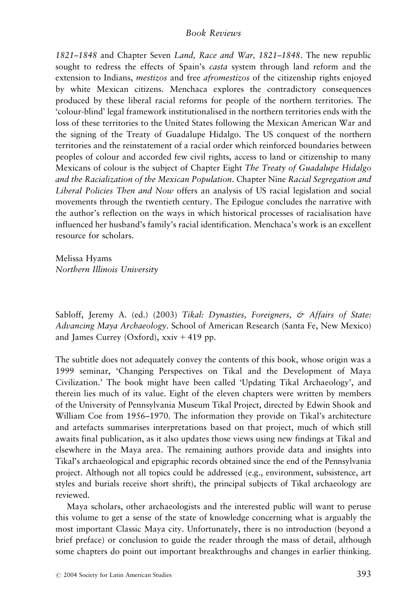1821–1848 and Chapter Seven Land, Race and War, 1821–1848. The new republic sought to redress the effects of Spain's *casta* system through land reform and the extension to Indians, *mestizos* and free *afromestizos* of the citizenship rights enjoyed by white Mexican citizens. Menchaca explores the contradictory consequences produced by these liberal racial reforms for people of the northern territories. The 'colour-blind' legal framework institutionalised in the northern territories ends with the loss of these territories to the United States following the Mexican American War and the signing of the Treaty of Guadalupe Hidalgo. The US conquest of the northern territories and the reinstatement of a racial order which reinforced boundaries between peoples of colour and accorded few civil rights, access to land or citizenship to many Mexicans of colour is the subject of Chapter Eight The Treaty of Guadalupe Hidalgo and the Racialization of the Mexican Population. Chapter Nine Racial Segregation and Liberal Policies Then and Now offers an analysis of US racial legislation and social movements through the twentieth century. The Epilogue concludes the narrative with the author's reflection on the ways in which historical processes of racialisation have influenced her husband's family's racial identification. Menchaca's work is an excellent resource for scholars.

Melissa Hyams Northern Illinois University

Sabloff, Jeremy A. (ed.) (2003) Tikal: Dynasties, Foreigners, & Affairs of State: Advancing Maya Archaeology. School of American Research (Santa Fe, New Mexico) and James Currey (Oxford), xxiv + 419 pp.

The subtitle does not adequately convey the contents of this book, whose origin was a 1999 seminar, 'Changing Perspectives on Tikal and the Development of Maya Civilization.' The book might have been called 'Updating Tikal Archaeology', and therein lies much of its value. Eight of the eleven chapters were written by members of the University of Pennsylvania Museum Tikal Project, directed by Edwin Shook and William Coe from 1956–1970. The information they provide on Tikal's architecture and artefacts summarises interpretations based on that project, much of which still awaits final publication, as it also updates those views using new findings at Tikal and elsewhere in the Maya area. The remaining authors provide data and insights into Tikal's archaeological and epigraphic records obtained since the end of the Pennsylvania project. Although not all topics could be addressed (e.g., environment, subsistence, art styles and burials receive short shrift), the principal subjects of Tikal archaeology are reviewed.

Maya scholars, other archaeologists and the interested public will want to peruse this volume to get a sense of the state of knowledge concerning what is arguably the most important Classic Maya city. Unfortunately, there is no introduction (beyond a brief preface) or conclusion to guide the reader through the mass of detail, although some chapters do point out important breakthroughs and changes in earlier thinking.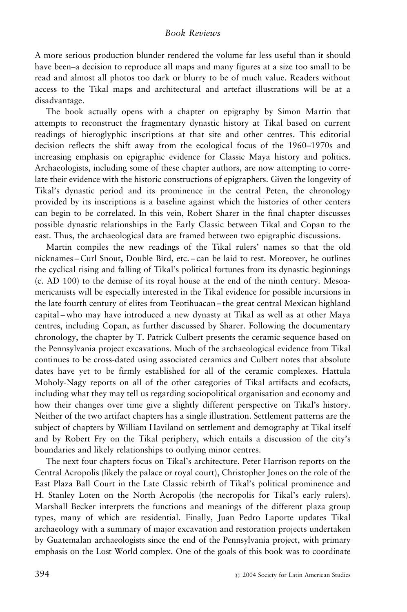A more serious production blunder rendered the volume far less useful than it should have been–a decision to reproduce all maps and many figures at a size too small to be read and almost all photos too dark or blurry to be of much value. Readers without access to the Tikal maps and architectural and artefact illustrations will be at a disadvantage.

The book actually opens with a chapter on epigraphy by Simon Martin that attempts to reconstruct the fragmentary dynastic history at Tikal based on current readings of hieroglyphic inscriptions at that site and other centres. This editorial decision reflects the shift away from the ecological focus of the 1960–1970s and increasing emphasis on epigraphic evidence for Classic Maya history and politics. Archaeologists, including some of these chapter authors, are now attempting to correlate their evidence with the historic constructions of epigraphers. Given the longevity of Tikal's dynastic period and its prominence in the central Peten, the chronology provided by its inscriptions is a baseline against which the histories of other centers can begin to be correlated. In this vein, Robert Sharer in the final chapter discusses possible dynastic relationships in the Early Classic between Tikal and Copan to the east. Thus, the archaeological data are framed between two epigraphic discussions.

Martin compiles the new readings of the Tikal rulers' names so that the old nicknames – Curl Snout, Double Bird, etc. – can be laid to rest. Moreover, he outlines the cyclical rising and falling of Tikal's political fortunes from its dynastic beginnings (c. AD 100) to the demise of its royal house at the end of the ninth century. Mesoamericanists will be especially interested in the Tikal evidence for possible incursions in the late fourth century of elites from Teotihuacan – the great central Mexican highland capital – who may have introduced a new dynasty at Tikal as well as at other Maya centres, including Copan, as further discussed by Sharer. Following the documentary chronology, the chapter by T. Patrick Culbert presents the ceramic sequence based on the Pennsylvania project excavations. Much of the archaeological evidence from Tikal continues to be cross-dated using associated ceramics and Culbert notes that absolute dates have yet to be firmly established for all of the ceramic complexes. Hattula Moholy-Nagy reports on all of the other categories of Tikal artifacts and ecofacts, including what they may tell us regarding sociopolitical organisation and economy and how their changes over time give a slightly different perspective on Tikal's history. Neither of the two artifact chapters has a single illustration. Settlement patterns are the subject of chapters by William Haviland on settlement and demography at Tikal itself and by Robert Fry on the Tikal periphery, which entails a discussion of the city's boundaries and likely relationships to outlying minor centres.

The next four chapters focus on Tikal's architecture. Peter Harrison reports on the Central Acropolis (likely the palace or royal court), Christopher Jones on the role of the East Plaza Ball Court in the Late Classic rebirth of Tikal's political prominence and H. Stanley Loten on the North Acropolis (the necropolis for Tikal's early rulers). Marshall Becker interprets the functions and meanings of the different plaza group types, many of which are residential. Finally, Juan Pedro Laporte updates Tikal archaeology with a summary of major excavation and restoration projects undertaken by Guatemalan archaeologists since the end of the Pennsylvania project, with primary emphasis on the Lost World complex. One of the goals of this book was to coordinate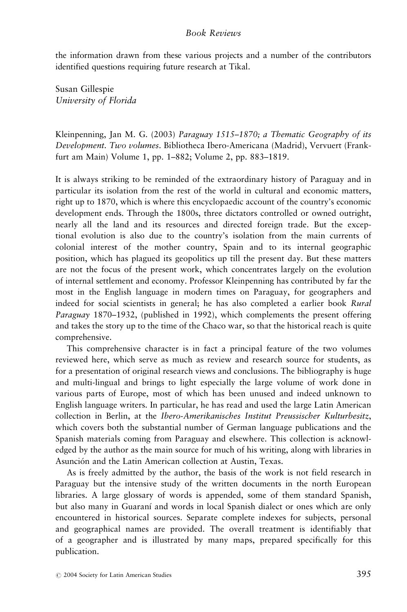the information drawn from these various projects and a number of the contributors identified questions requiring future research at Tikal.

Susan Gillespie University of Florida

Kleinpenning, Jan M. G. (2003) Paraguay 1515–1870; a Thematic Geography of its Development. Two volumes. Bibliotheca Ibero-Americana (Madrid), Vervuert (Frankfurt am Main) Volume 1, pp. 1–882; Volume 2, pp. 883–1819.

It is always striking to be reminded of the extraordinary history of Paraguay and in particular its isolation from the rest of the world in cultural and economic matters, right up to 1870, which is where this encyclopaedic account of the country's economic development ends. Through the 1800s, three dictators controlled or owned outright, nearly all the land and its resources and directed foreign trade. But the exceptional evolution is also due to the country's isolation from the main currents of colonial interest of the mother country, Spain and to its internal geographic position, which has plagued its geopolitics up till the present day. But these matters are not the focus of the present work, which concentrates largely on the evolution of internal settlement and economy. Professor Kleinpenning has contributed by far the most in the English language in modern times on Paraguay, for geographers and indeed for social scientists in general; he has also completed a earlier book Rural Paraguay 1870–1932, (published in 1992), which complements the present offering and takes the story up to the time of the Chaco war, so that the historical reach is quite comprehensive.

This comprehensive character is in fact a principal feature of the two volumes reviewed here, which serve as much as review and research source for students, as for a presentation of original research views and conclusions. The bibliography is huge and multi-lingual and brings to light especially the large volume of work done in various parts of Europe, most of which has been unused and indeed unknown to English language writers. In particular, he has read and used the large Latin American collection in Berlin, at the Ibero-Amerikanisches Institut Preussischer Kulturbesitz, which covers both the substantial number of German language publications and the Spanish materials coming from Paraguay and elsewhere. This collection is acknowledged by the author as the main source for much of his writing, along with libraries in Asunción and the Latin American collection at Austin, Texas.

As is freely admitted by the author, the basis of the work is not field research in Paraguay but the intensive study of the written documents in the north European libraries. A large glossary of words is appended, some of them standard Spanish, but also many in Guaraní and words in local Spanish dialect or ones which are only encountered in historical sources. Separate complete indexes for subjects, personal and geographical names are provided. The overall treatment is identifiably that of a geographer and is illustrated by many maps, prepared specifically for this publication.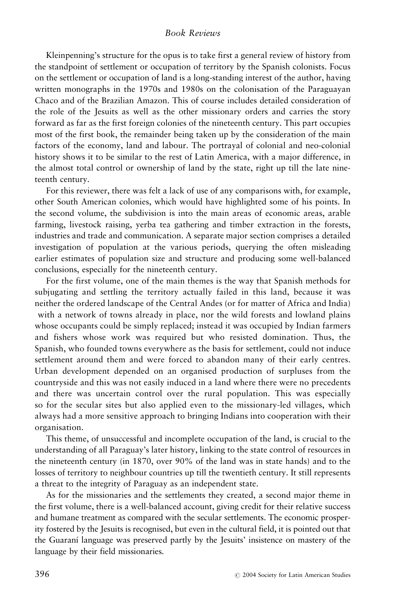Kleinpenning's structure for the opus is to take first a general review of history from the standpoint of settlement or occupation of territory by the Spanish colonists. Focus on the settlement or occupation of land is a long-standing interest of the author, having written monographs in the 1970s and 1980s on the colonisation of the Paraguayan Chaco and of the Brazilian Amazon. This of course includes detailed consideration of the role of the Jesuits as well as the other missionary orders and carries the story forward as far as the first foreign colonies of the nineteenth century. This part occupies most of the first book, the remainder being taken up by the consideration of the main factors of the economy, land and labour. The portrayal of colonial and neo-colonial history shows it to be similar to the rest of Latin America, with a major difference, in the almost total control or ownership of land by the state, right up till the late nineteenth century.

For this reviewer, there was felt a lack of use of any comparisons with, for example, other South American colonies, which would have highlighted some of his points. In the second volume, the subdivision is into the main areas of economic areas, arable farming, livestock raising, yerba tea gathering and timber extraction in the forests, industries and trade and communication. A separate major section comprises a detailed investigation of population at the various periods, querying the often misleading earlier estimates of population size and structure and producing some well-balanced conclusions, especially for the nineteenth century.

For the first volume, one of the main themes is the way that Spanish methods for subjugating and settling the territory actually failed in this land, because it was neither the ordered landscape of the Central Andes (or for matter of Africa and India) with a network of towns already in place, nor the wild forests and lowland plains whose occupants could be simply replaced; instead it was occupied by Indian farmers and fishers whose work was required but who resisted domination. Thus, the Spanish, who founded towns everywhere as the basis for settlement, could not induce settlement around them and were forced to abandon many of their early centres. Urban development depended on an organised production of surpluses from the countryside and this was not easily induced in a land where there were no precedents and there was uncertain control over the rural population. This was especially so for the secular sites but also applied even to the missionary-led villages, which always had a more sensitive approach to bringing Indians into cooperation with their organisation.

This theme, of unsuccessful and incomplete occupation of the land, is crucial to the understanding of all Paraguay's later history, linking to the state control of resources in the nineteenth century (in 1870, over 90% of the land was in state hands) and to the losses of territory to neighbour countries up till the twentieth century. It still represents a threat to the integrity of Paraguay as an independent state.

As for the missionaries and the settlements they created, a second major theme in the first volume, there is a well-balanced account, giving credit for their relative success and humane treatment as compared with the secular settlements. The economic prosperity fostered by the Jesuits is recognised, but even in the cultural field, it is pointed out that the Guaranı´ language was preserved partly by the Jesuits' insistence on mastery of the language by their field missionaries.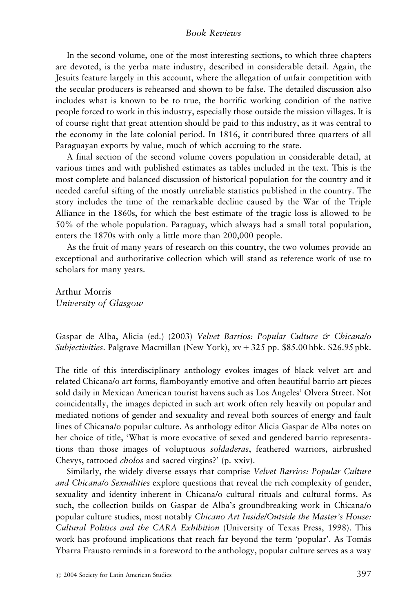In the second volume, one of the most interesting sections, to which three chapters are devoted, is the yerba mate industry, described in considerable detail. Again, the Jesuits feature largely in this account, where the allegation of unfair competition with the secular producers is rehearsed and shown to be false. The detailed discussion also includes what is known to be to true, the horrific working condition of the native people forced to work in this industry, especially those outside the mission villages. It is of course right that great attention should be paid to this industry, as it was central to the economy in the late colonial period. In 1816, it contributed three quarters of all Paraguayan exports by value, much of which accruing to the state.

A final section of the second volume covers population in considerable detail, at various times and with published estimates as tables included in the text. This is the most complete and balanced discussion of historical population for the country and it needed careful sifting of the mostly unreliable statistics published in the country. The story includes the time of the remarkable decline caused by the War of the Triple Alliance in the 1860s, for which the best estimate of the tragic loss is allowed to be 50% of the whole population. Paraguay, which always had a small total population, enters the 1870s with only a little more than 200,000 people.

As the fruit of many years of research on this country, the two volumes provide an exceptional and authoritative collection which will stand as reference work of use to scholars for many years.

Arthur Morris University of Glasgow

Gaspar de Alba, Alicia (ed.) (2003) Velvet Barrios: Popular Culture & Chicana/o Subjectivities. Palgrave Macmillan (New York),  $xy + 325$  pp. \$85.00 hbk. \$26.95 pbk.

The title of this interdisciplinary anthology evokes images of black velvet art and related Chicana/o art forms, flamboyantly emotive and often beautiful barrio art pieces sold daily in Mexican American tourist havens such as Los Angeles' Olvera Street. Not coincidentally, the images depicted in such art work often rely heavily on popular and mediated notions of gender and sexuality and reveal both sources of energy and fault lines of Chicana/o popular culture. As anthology editor Alicia Gaspar de Alba notes on her choice of title, 'What is more evocative of sexed and gendered barrio representations than those images of voluptuous soldaderas, feathered warriors, airbrushed Chevys, tattooed cholos and sacred virgins?' (p. xxiv).

Similarly, the widely diverse essays that comprise Velvet Barrios: Popular Culture and Chicana/o Sexualities explore questions that reveal the rich complexity of gender, sexuality and identity inherent in Chicana/o cultural rituals and cultural forms. As such, the collection builds on Gaspar de Alba's groundbreaking work in Chicana/o popular culture studies, most notably Chicano Art Inside/Outside the Master's House: Cultural Politics and the CARA Exhibition (University of Texas Press, 1998). This work has profound implications that reach far beyond the term 'popular'. As Tomás Ybarra Frausto reminds in a foreword to the anthology, popular culture serves as a way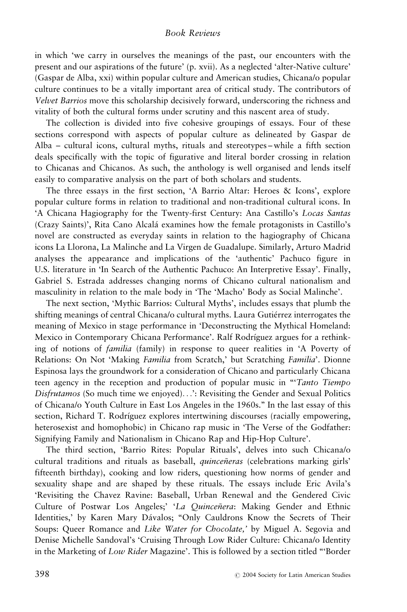in which 'we carry in ourselves the meanings of the past, our encounters with the present and our aspirations of the future' (p. xvii). As a neglected 'alter-Native culture' (Gaspar de Alba, xxi) within popular culture and American studies, Chicana/o popular culture continues to be a vitally important area of critical study. The contributors of Velvet Barrios move this scholarship decisively forward, underscoring the richness and vitality of both the cultural forms under scrutiny and this nascent area of study.

The collection is divided into five cohesive groupings of essays. Four of these sections correspond with aspects of popular culture as delineated by Gaspar de Alba – cultural icons, cultural myths, rituals and stereotypes – while a fifth section deals specifically with the topic of figurative and literal border crossing in relation to Chicanas and Chicanos. As such, the anthology is well organised and lends itself easily to comparative analysis on the part of both scholars and students.

The three essays in the first section, 'A Barrio Altar: Heroes & Icons', explore popular culture forms in relation to traditional and non-traditional cultural icons. In 'A Chicana Hagiography for the Twenty-first Century: Ana Castillo's Locas Santas (Crazy Saints)', Rita Cano Alcala´ examines how the female protagonists in Castillo's novel are constructed as everyday saints in relation to the hagiography of Chicana icons La Llorona, La Malinche and La Virgen de Guadalupe. Similarly, Arturo Madrid analyses the appearance and implications of the 'authentic' Pachuco figure in U.S. literature in 'In Search of the Authentic Pachuco: An Interpretive Essay'. Finally, Gabriel S. Estrada addresses changing norms of Chicano cultural nationalism and masculinity in relation to the male body in 'The 'Macho' Body as Social Malinche'.

The next section, 'Mythic Barrios: Cultural Myths', includes essays that plumb the shifting meanings of central Chicana/o cultural myths. Laura Gutiérrez interrogates the meaning of Mexico in stage performance in 'Deconstructing the Mythical Homeland: Mexico in Contemporary Chicana Performance'. Ralf Rodríguez argues for a rethinking of notions of familia (family) in response to queer realities in 'A Poverty of Relations: On Not 'Making Familia from Scratch,' but Scratching Familia'. Dionne Espinosa lays the groundwork for a consideration of Chicano and particularly Chicana teen agency in the reception and production of popular music in "Tanto Tiempo Disfrutamos (So much time we enjoyed)...': Revisiting the Gender and Sexual Politics of Chicana/o Youth Culture in East Los Angeles in the 1960s.'' In the last essay of this section, Richard T. Rodríguez explores intertwining discourses (racially empowering, heterosexist and homophobic) in Chicano rap music in 'The Verse of the Godfather: Signifying Family and Nationalism in Chicano Rap and Hip-Hop Culture'.

The third section, 'Barrio Rites: Popular Rituals', delves into such Chicana/o cultural traditions and rituals as baseball, *quincenteras* (celebrations marking girls' fifteenth birthday), cooking and low riders, questioning how norms of gender and sexuality shape and are shaped by these rituals. The essays include Eric Avila's 'Revisiting the Chavez Ravine: Baseball, Urban Renewal and the Gendered Civic Culture of Postwar Los Angeles;' 'La Quinceñera: Making Gender and Ethnic Identities,' by Karen Mary Dávalos; "Only Cauldrons Know the Secrets of Their Soups: Queer Romance and Like Water for Chocolate,' by Miguel A. Segovia and Denise Michelle Sandoval's 'Cruising Through Low Rider Culture: Chicana/o Identity in the Marketing of Low Rider Magazine'. This is followed by a section titled "'Border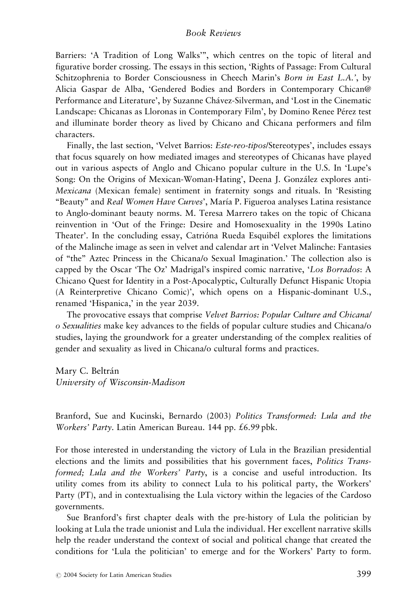Barriers: 'A Tradition of Long Walks''', which centres on the topic of literal and figurative border crossing. The essays in this section, 'Rights of Passage: From Cultural Schitzophrenia to Border Consciousness in Cheech Marin's Born in East L.A.', by Alicia Gaspar de Alba, 'Gendered Bodies and Borders in Contemporary Chican@ Performance and Literature', by Suzanne Cha´vez-Silverman, and 'Lost in the Cinematic Landscape: Chicanas as Lloronas in Contemporary Film', by Domino Renee Pérez test and illuminate border theory as lived by Chicano and Chicana performers and film characters.

Finally, the last section, 'Velvet Barrios: Este-reo-tipos/Stereotypes', includes essays that focus squarely on how mediated images and stereotypes of Chicanas have played out in various aspects of Anglo and Chicano popular culture in the U.S. In 'Lupe's Song: On the Origins of Mexican-Woman-Hating', Deena J. González explores anti-Mexicana (Mexican female) sentiment in fraternity songs and rituals. In 'Resisting "Beauty" and Real Women Have Curves', María P. Figueroa analyses Latina resistance to Anglo-dominant beauty norms. M. Teresa Marrero takes on the topic of Chicana reinvention in 'Out of the Fringe: Desire and Homosexuality in the 1990s Latino Theater'. In the concluding essay, Catriona Rueda Esquibet explores the limitations of the Malinche image as seen in velvet and calendar art in 'Velvet Malinche: Fantasies of ''the'' Aztec Princess in the Chicana/o Sexual Imagination.' The collection also is capped by the Oscar 'The Oz' Madrigal's inspired comic narrative, 'Los Borrados: A Chicano Quest for Identity in a Post-Apocalyptic, Culturally Defunct Hispanic Utopia (A Reinterpretive Chicano Comic)', which opens on a Hispanic-dominant U.S., renamed 'Hispanica,' in the year 2039.

The provocative essays that comprise Velvet Barrios: Popular Culture and Chicana/ o Sexualities make key advances to the fields of popular culture studies and Chicana/o studies, laying the groundwork for a greater understanding of the complex realities of gender and sexuality as lived in Chicana/o cultural forms and practices.

Mary C. Beltrán University of Wisconsin-Madison

Branford, Sue and Kucinski, Bernardo (2003) Politics Transformed: Lula and the Workers' Party. Latin American Bureau. 144 pp. £6.99 pbk.

For those interested in understanding the victory of Lula in the Brazilian presidential elections and the limits and possibilities that his government faces, Politics Transformed; Lula and the Workers' Party, is a concise and useful introduction. Its utility comes from its ability to connect Lula to his political party, the Workers' Party (PT), and in contextualising the Lula victory within the legacies of the Cardoso governments.

Sue Branford's first chapter deals with the pre-history of Lula the politician by looking at Lula the trade unionist and Lula the individual. Her excellent narrative skills help the reader understand the context of social and political change that created the conditions for 'Lula the politician' to emerge and for the Workers' Party to form.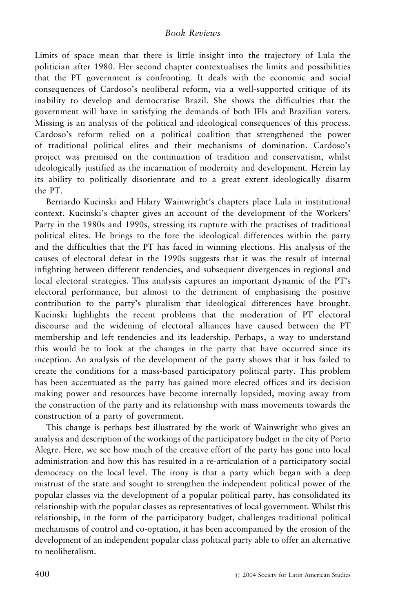Limits of space mean that there is little insight into the trajectory of Lula the politician after 1980. Her second chapter contextualises the limits and possibilities that the PT government is confronting. It deals with the economic and social consequences of Cardoso's neoliberal reform, via a well-supported critique of its inability to develop and democratise Brazil. She shows the difficulties that the government will have in satisfying the demands of both IFIs and Brazilian voters. Missing is an analysis of the political and ideological consequences of this process. Cardoso's reform relied on a political coalition that strengthened the power of traditional political elites and their mechanisms of domination. Cardoso's project was premised on the continuation of tradition and conservatism, whilst ideologically justified as the incarnation of modernity and development. Herein lay its ability to politically disorientate and to a great extent ideologically disarm the PT.

Bernardo Kucinski and Hilary Wainwright's chapters place Lula in institutional context. Kucinski's chapter gives an account of the development of the Workers' Party in the 1980s and 1990s, stressing its rupture with the practises of traditional political elites. He brings to the fore the ideological differences within the party and the difficulties that the PT has faced in winning elections. His analysis of the causes of electoral defeat in the 1990s suggests that it was the result of internal infighting between different tendencies, and subsequent divergences in regional and local electoral strategies. This analysis captures an important dynamic of the PT's electoral performance, but almost to the detriment of emphasising the positive contribution to the party's pluralism that ideological differences have brought. Kucinski highlights the recent problems that the moderation of PT electoral discourse and the widening of electoral alliances have caused between the PT membership and left tendencies and its leadership. Perhaps, a way to understand this would be to look at the changes in the party that have occurred since its inception. An analysis of the development of the party shows that it has failed to create the conditions for a mass-based participatory political party. This problem has been accentuated as the party has gained more elected offices and its decision making power and resources have become internally lopsided, moving away from the construction of the party and its relationship with mass movements towards the construction of a party of government.

This change is perhaps best illustrated by the work of Wainwright who gives an analysis and description of the workings of the participatory budget in the city of Porto Alegre. Here, we see how much of the creative effort of the party has gone into local administration and how this has resulted in a re-articulation of a participatory social democracy on the local level. The irony is that a party which began with a deep mistrust of the state and sought to strengthen the independent political power of the popular classes via the development of a popular political party, has consolidated its relationship with the popular classes as representatives of local government. Whilst this relationship, in the form of the participatory budget, challenges traditional political mechanisms of control and co-optation, it has been accompanied by the erosion of the development of an independent popular class political party able to offer an alternative to neoliberalism.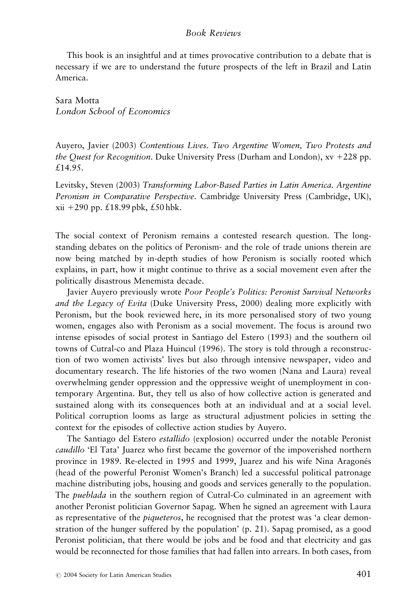This book is an insightful and at times provocative contribution to a debate that is necessary if we are to understand the future prospects of the left in Brazil and Latin America.

Sara Motta London School of Economics

Auyero, Javier (2003) Contentious Lives. Two Argentine Women, Two Protests and the Quest for Recognition. Duke University Press (Durham and London),  $xy + 228$  pp. £14.95.

Levitsky, Steven (2003) Transforming Labor-Based Parties in Latin America. Argentine Peronism in Comparative Perspective. Cambridge University Press (Cambridge, UK), xii +290 pp.  $£18.99$  pbk,  $£50$  hbk.

The social context of Peronism remains a contested research question. The longstanding debates on the politics of Peronism- and the role of trade unions therein are now being matched by in-depth studies of how Peronism is socially rooted which explains, in part, how it might continue to thrive as a social movement even after the politically disastrous Menemista decade.

Javier Auyero previously wrote Poor People's Politics: Peronist Survival Networks and the Legacy of Evita (Duke University Press, 2000) dealing more explicitly with Peronism, but the book reviewed here, in its more personalised story of two young women, engages also with Peronism as a social movement. The focus is around two intense episodes of social protest in Santiago del Estero (1993) and the southern oil towns of Cutral-co and Plaza Huincul (1996). The story is told through a reconstruction of two women activists' lives but also through intensive newspaper, video and documentary research. The life histories of the two women (Nana and Laura) reveal overwhelming gender oppression and the oppressive weight of unemployment in contemporary Argentina. But, they tell us also of how collective action is generated and sustained along with its consequences both at an individual and at a social level. Political corruption looms as large as structural adjustment policies in setting the context for the episodes of collective action studies by Auyero.

The Santiago del Estero estallido (explosion) occurred under the notable Peronist caudillo 'El Tata' Juarez who first became the governor of the impoverished northern province in 1989. Re-elected in 1995 and 1999, Juarez and his wife Nina Aragonés (head of the powerful Peronist Women's Branch) led a successful political patronage machine distributing jobs, housing and goods and services generally to the population. The pueblada in the southern region of Cutral-Co culminated in an agreement with another Peronist politician Governor Sapag. When he signed an agreement with Laura as representative of the *piqueteros*, he recognised that the protest was 'a clear demonstration of the hunger suffered by the population' (p. 21). Sapag promised, as a good Peronist politician, that there would be jobs and be food and that electricity and gas would be reconnected for those families that had fallen into arrears. In both cases, from